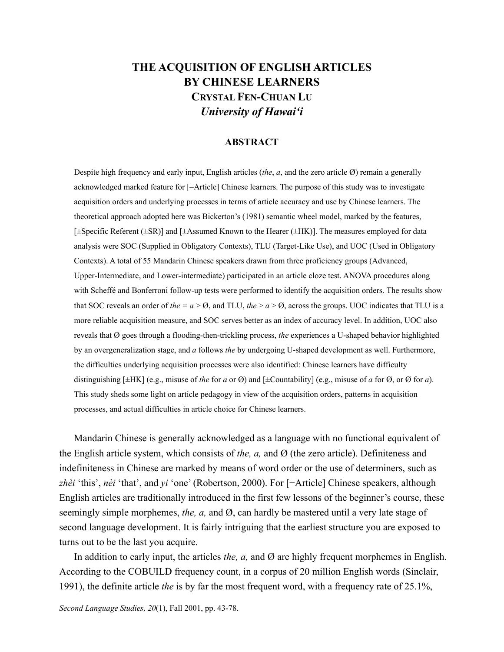# **THE ACQUISITION OF ENGLISH ARTICLES BY CHINESE LEARNERS CRYSTAL FEN-CHUAN LU** *University of Hawai'i*

## **ABSTRACT**

Despite high frequency and early input, English articles (*the*,  $a$ , and the zero article  $\emptyset$ ) remain a generally acknowledged marked feature for [–Article] Chinese learners. The purpose of this study was to investigate acquisition orders and underlying processes in terms of article accuracy and use by Chinese learners. The theoretical approach adopted here was Bickerton's (1981) semantic wheel model, marked by the features, [±Specific Referent (±SR)] and [±Assumed Known to the Hearer (±HK)]. The measures employed for data analysis were SOC (Supplied in Obligatory Contexts), TLU (Target-Like Use), and UOC (Used in Obligatory Contexts). A total of 55 Mandarin Chinese speakers drawn from three proficiency groups (Advanced, Upper-Intermediate, and Lower-intermediate) participated in an article cloze test. ANOVA procedures along with Scheffé and Bonferroni follow-up tests were performed to identify the acquisition orders. The results show that SOC reveals an order of *the* =  $a > 0$ , and TLU, *the*  $> a > 0$ , across the groups. UOC indicates that TLU is a more reliable acquisition measure, and SOC serves better as an index of accuracy level. In addition, UOC also reveals that Ø goes through a flooding-then-trickling process, *the* experiences a U-shaped behavior highlighted by an overgeneralization stage, and *a* follows *the* by undergoing U-shaped development as well. Furthermore, the difficulties underlying acquisition processes were also identified: Chinese learners have difficulty distinguishing  $[\pm HK]$  (e.g., misuse of *the* for *a* or  $\emptyset$ ) and  $[\pm \text{Countability}]$  (e.g., misuse of *a* for  $\emptyset$ , or  $\emptyset$  for *a*). This study sheds some light on article pedagogy in view of the acquisition orders, patterns in acquisition processes, and actual difficulties in article choice for Chinese learners.

Mandarin Chinese is generally acknowledged as a language with no functional equivalent of the English article system, which consists of *the, a,* and Ø (the zero article). Definiteness and indefiniteness in Chinese are marked by means of word order or the use of determiners, such as *zhèi* 'this', *nèi* 'that', and *yi* 'one' (Robertson, 2000). For [−Article] Chinese speakers, although English articles are traditionally introduced in the first few lessons of the beginner's course, these seemingly simple morphemes, *the, a,* and Ø, can hardly be mastered until a very late stage of second language development. It is fairly intriguing that the earliest structure you are exposed to turns out to be the last you acquire.

In addition to early input, the articles *the, a,* and Ø are highly frequent morphemes in English. According to the COBUILD frequency count, in a corpus of 20 million English words (Sinclair, 1991), the definite article *the* is by far the most frequent word, with a frequency rate of 25.1%,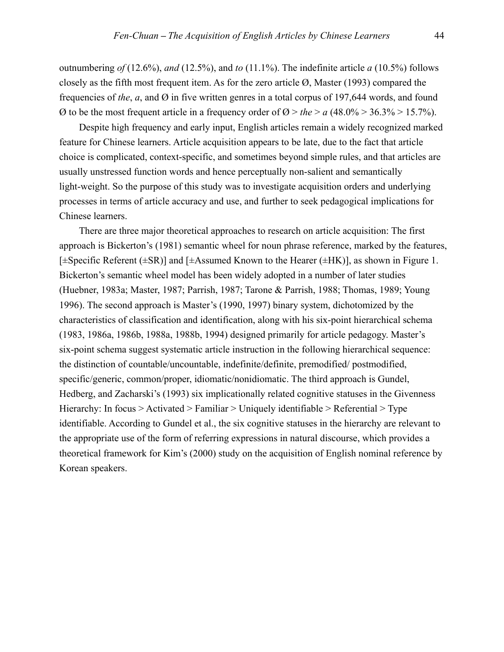outnumbering *of* (12.6%), *and* (12.5%), and *to* (11.1%). The indefinite article *a* (10.5%) follows closely as the fifth most frequent item. As for the zero article Ø, Master (1993) compared the frequencies of *the*, *a*, and Ø in five written genres in a total corpus of 197,644 words, and found  $\varnothing$  to be the most frequent article in a frequency order of  $\varnothing >$  the  $>$  a (48.0%  $>$  36.3%  $>$  15.7%).

Despite high frequency and early input, English articles remain a widely recognized marked feature for Chinese learners. Article acquisition appears to be late, due to the fact that article choice is complicated, context-specific, and sometimes beyond simple rules, and that articles are usually unstressed function words and hence perceptually non-salient and semantically light-weight. So the purpose of this study was to investigate acquisition orders and underlying processes in terms of article accuracy and use, and further to seek pedagogical implications for Chinese learners.

There are three major theoretical approaches to research on article acquisition: The first approach is Bickerton's (1981) semantic wheel for noun phrase reference, marked by the features,  $[\pm$ Specific Referent ( $\pm$ SR)] and  $[\pm$ Assumed Known to the Hearer ( $\pm$ HK)], as shown in Figure 1. Bickerton's semantic wheel model has been widely adopted in a number of later studies (Huebner, 1983a; Master, 1987; Parrish, 1987; Tarone & Parrish, 1988; Thomas, 1989; Young 1996). The second approach is Master's (1990, 1997) binary system, dichotomized by the characteristics of classification and identification, along with his six-point hierarchical schema (1983, 1986a, 1986b, 1988a, 1988b, 1994) designed primarily for article pedagogy. Master's six-point schema suggest systematic article instruction in the following hierarchical sequence: the distinction of countable/uncountable, indefinite/definite, premodified/ postmodified, specific/generic, common/proper, idiomatic/nonidiomatic. The third approach is Gundel, Hedberg, and Zacharski's (1993) six implicationally related cognitive statuses in the Givenness Hierarchy: In focus > Activated > Familiar > Uniquely identifiable > Referential > Type identifiable. According to Gundel et al., the six cognitive statuses in the hierarchy are relevant to the appropriate use of the form of referring expressions in natural discourse, which provides a theoretical framework for Kim's (2000) study on the acquisition of English nominal reference by Korean speakers.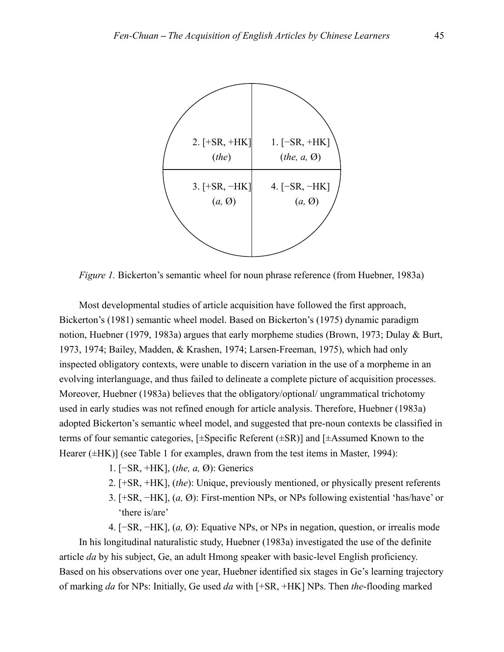

*Figure 1.* Bickerton's semantic wheel for noun phrase reference (from Huebner, 1983a)

Most developmental studies of article acquisition have followed the first approach, Bickerton's (1981) semantic wheel model. Based on Bickerton's (1975) dynamic paradigm notion, Huebner (1979, 1983a) argues that early morpheme studies (Brown, 1973; Dulay & Burt, 1973, 1974; Bailey, Madden, & Krashen, 1974; Larsen-Freeman, 1975), which had only inspected obligatory contexts, were unable to discern variation in the use of a morpheme in an evolving interlanguage, and thus failed to delineate a complete picture of acquisition processes. Moreover, Huebner (1983a) believes that the obligatory/optional/ ungrammatical trichotomy used in early studies was not refined enough for article analysis. Therefore, Huebner (1983a) adopted Bickerton's semantic wheel model, and suggested that pre-noun contexts be classified in terms of four semantic categories, [±Specific Referent (±SR)] and [±Assumed Known to the Hearer ( $\pm$ HK)] (see Table 1 for examples, drawn from the test items in Master, 1994):

- 1. [−SR, +HK], (*the, a,* Ø): Generics
- 2. [+SR, +HK], (*the*): Unique, previously mentioned, or physically present referents
- 3. [+SR, −HK], (*a,* Ø): First-mention NPs, or NPs following existential 'has/have' or 'there is/are'
- 4. [−SR, −HK], (*a,* Ø): Equative NPs, or NPs in negation, question, or irrealis mode

In his longitudinal naturalistic study, Huebner (1983a) investigated the use of the definite article *da* by his subject, Ge, an adult Hmong speaker with basic-level English proficiency. Based on his observations over one year, Huebner identified six stages in Ge's learning trajectory of marking *da* for NPs: Initially, Ge used *da* with [+SR, +HK] NPs. Then *the*-flooding marked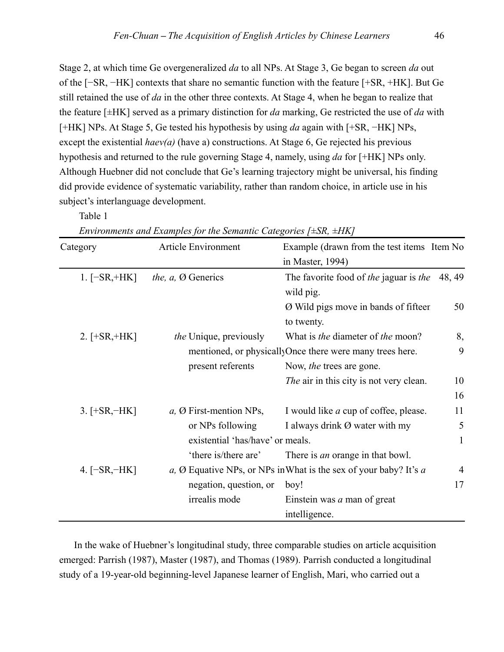Stage 2, at which time Ge overgeneralized *da* to all NPs. At Stage 3, Ge began to screen *da* out of the [−SR, −HK] contexts that share no semantic function with the feature [+SR, +HK]. But Ge still retained the use of *da* in the other three contexts. At Stage 4, when he began to realize that the feature [±HK] served as a primary distinction for *da* marking, Ge restricted the use of *da* with [+HK] NPs. At Stage 5, Ge tested his hypothesis by using *da* again with [+SR, −HK] NPs, except the existential *haev(a)* (have a) constructions. At Stage 6, Ge rejected his previous hypothesis and returned to the rule governing Stage 4, namely, using *da* for [+HK] NPs only. Although Huebner did not conclude that Ge's learning trajectory might be universal, his finding did provide evidence of systematic variability, rather than random choice, in article use in his subject's interlanguage development.

Table 1

| Category        | <b>Article Environment</b>        | Example (drawn from the test items Item No<br>in Master, 1994)              |                |
|-----------------|-----------------------------------|-----------------------------------------------------------------------------|----------------|
| $1.[-SR, +HK]$  | <i>the, a, Ø Generics</i>         | The favorite food of the jaguar is the<br>wild pig.                         | 48, 49         |
|                 |                                   | Ø Wild pigs move in bands of fifteer<br>to twenty.                          | 50             |
| 2. $[+SR, +HK]$ | the Unique, previously            | What is <i>the</i> diameter of <i>the</i> moon?                             | 8,             |
|                 |                                   | mentioned, or physicallyOnce there were many trees here.                    | 9              |
|                 | present referents                 | Now, the trees are gone.                                                    |                |
|                 |                                   | <i>The air in this city is not very clean.</i>                              | 10             |
|                 |                                   |                                                                             | 16             |
| $3.$ [+SR, –HK] | $a, \emptyset$ First-mention NPs, | I would like <i>a</i> cup of coffee, please.                                | 11             |
|                 | or NPs following                  | I always drink Ø water with my                                              | 5              |
|                 | existential 'has/have' or meals.  |                                                                             | 1              |
|                 | 'there is/there are'              | There is <i>an</i> orange in that bowl.                                     |                |
| 4. $[-SR, -HK]$ |                                   | a, $\emptyset$ Equative NPs, or NPs in What is the sex of your baby? It's a | $\overline{4}$ |
|                 | negation, question, or            | boy!                                                                        | 17             |
|                 | irrealis mode                     | Einstein was <i>a</i> man of great                                          |                |
|                 |                                   | intelligence.                                                               |                |

*Environments and Examples for the Semantic Categories [±SR, ±HK]* 

In the wake of Huebner's longitudinal study, three comparable studies on article acquisition emerged: Parrish (1987), Master (1987), and Thomas (1989). Parrish conducted a longitudinal study of a 19-year-old beginning-level Japanese learner of English, Mari, who carried out a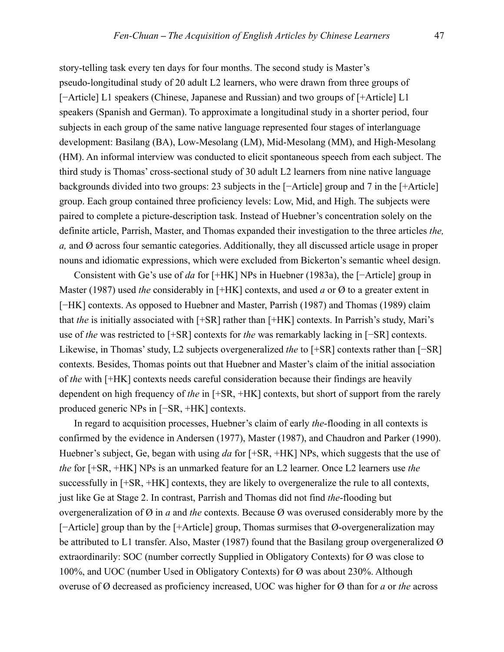story-telling task every ten days for four months. The second study is Master's pseudo-longitudinal study of 20 adult L2 learners, who were drawn from three groups of [−Article] L1 speakers (Chinese, Japanese and Russian) and two groups of [+Article] L1 speakers (Spanish and German). To approximate a longitudinal study in a shorter period, four subjects in each group of the same native language represented four stages of interlanguage development: Basilang (BA), Low-Mesolang (LM), Mid-Mesolang (MM), and High-Mesolang (HM). An informal interview was conducted to elicit spontaneous speech from each subject. The third study is Thomas' cross-sectional study of 30 adult L2 learners from nine native language backgrounds divided into two groups: 23 subjects in the [−Article] group and 7 in the [+Article] group. Each group contained three proficiency levels: Low, Mid, and High. The subjects were paired to complete a picture-description task. Instead of Huebner's concentration solely on the definite article, Parrish, Master, and Thomas expanded their investigation to the three articles *the, a,* and Ø across four semantic categories. Additionally, they all discussed article usage in proper nouns and idiomatic expressions, which were excluded from Bickerton's semantic wheel design.

Consistent with Ge's use of *da* for [+HK] NPs in Huebner (1983a), the [−Article] group in Master (1987) used *the* considerably in [+HK] contexts, and used *a* or Ø to a greater extent in [−HK] contexts. As opposed to Huebner and Master, Parrish (1987) and Thomas (1989) claim that *the* is initially associated with [+SR] rather than [+HK] contexts. In Parrish's study, Mari's use of *the* was restricted to [+SR] contexts for *the* was remarkably lacking in [−SR] contexts. Likewise, in Thomas' study, L2 subjects overgeneralized *the* to [+SR] contexts rather than [−SR] contexts. Besides, Thomas points out that Huebner and Master's claim of the initial association of *the* with [+HK] contexts needs careful consideration because their findings are heavily dependent on high frequency of *the* in [+SR, +HK] contexts, but short of support from the rarely produced generic NPs in [−SR, +HK] contexts.

 In regard to acquisition processes, Huebner's claim of early *the*-flooding in all contexts is confirmed by the evidence in Andersen (1977), Master (1987), and Chaudron and Parker (1990). Huebner's subject, Ge, began with using *da* for [+SR, +HK] NPs, which suggests that the use of *the* for [+SR, +HK] NPs is an unmarked feature for an L2 learner. Once L2 learners use *the* successfully in [+SR, +HK] contexts, they are likely to overgeneralize the rule to all contexts, just like Ge at Stage 2. In contrast, Parrish and Thomas did not find *the*-flooding but overgeneralization of Ø in *a* and *the* contexts. Because Ø was overused considerably more by the [−Article] group than by the [+Article] group, Thomas surmises that Ø-overgeneralization may be attributed to L1 transfer. Also, Master (1987) found that the Basilang group overgeneralized Ø extraordinarily: SOC (number correctly Supplied in Obligatory Contexts) for Ø was close to 100%, and UOC (number Used in Obligatory Contexts) for Ø was about 230%. Although overuse of Ø decreased as proficiency increased, UOC was higher for Ø than for *a* or *the* across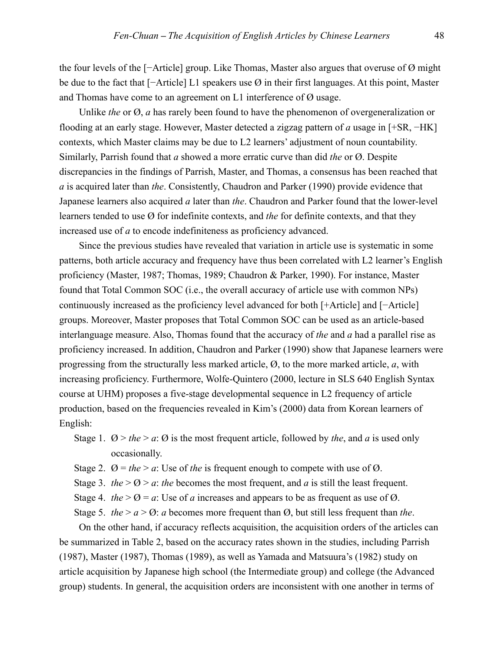the four levels of the [−Article] group. Like Thomas, Master also argues that overuse of Ø might be due to the fact that [−Article] L1 speakers use Ø in their first languages. At this point, Master and Thomas have come to an agreement on L1 interference of Ø usage.

Unlike *the* or Ø, *a* has rarely been found to have the phenomenon of overgeneralization or flooding at an early stage. However, Master detected a zigzag pattern of *a* usage in [+SR, −HK] contexts, which Master claims may be due to L2 learners' adjustment of noun countability. Similarly, Parrish found that *a* showed a more erratic curve than did *the* or Ø. Despite discrepancies in the findings of Parrish, Master, and Thomas, a consensus has been reached that *a* is acquired later than *the*. Consistently, Chaudron and Parker (1990) provide evidence that Japanese learners also acquired *a* later than *the*. Chaudron and Parker found that the lower-level learners tended to use Ø for indefinite contexts, and *the* for definite contexts, and that they increased use of *a* to encode indefiniteness as proficiency advanced.

Since the previous studies have revealed that variation in article use is systematic in some patterns, both article accuracy and frequency have thus been correlated with L2 learner's English proficiency (Master, 1987; Thomas, 1989; Chaudron & Parker, 1990). For instance, Master found that Total Common SOC (i.e., the overall accuracy of article use with common NPs) continuously increased as the proficiency level advanced for both [+Article] and [−Article] groups. Moreover, Master proposes that Total Common SOC can be used as an article-based interlanguage measure. Also, Thomas found that the accuracy of *the* and *a* had a parallel rise as proficiency increased. In addition, Chaudron and Parker (1990) show that Japanese learners were progressing from the structurally less marked article, Ø, to the more marked article, *a*, with increasing proficiency. Furthermore, Wolfe-Quintero (2000, lecture in SLS 640 English Syntax course at UHM) proposes a five-stage developmental sequence in L2 frequency of article production, based on the frequencies revealed in Kim's (2000) data from Korean learners of English:

Stage 1.  $\varnothing$  > *the* > *a*:  $\varnothing$  is the most frequent article, followed by *the*, and *a* is used only occasionally.

- Stage 2.  $\varnothing =$  *the* > *a*: Use of *the* is frequent enough to compete with use of  $\varnothing$ .
- Stage 3. *the*  $>$  Ø  $>$  *a*: *the* becomes the most frequent, and *a* is still the least frequent.
- Stage 4. *the*  $>$   $\emptyset$  = *a*: Use of *a* increases and appears to be as frequent as use of  $\emptyset$ .
- Stage 5. *the*  $> a > \emptyset$ : *a* becomes more frequent than  $\emptyset$ , but still less frequent than *the*.

On the other hand, if accuracy reflects acquisition, the acquisition orders of the articles can be summarized in Table 2, based on the accuracy rates shown in the studies, including Parrish (1987), Master (1987), Thomas (1989), as well as Yamada and Matsuura's (1982) study on article acquisition by Japanese high school (the Intermediate group) and college (the Advanced group) students. In general, the acquisition orders are inconsistent with one another in terms of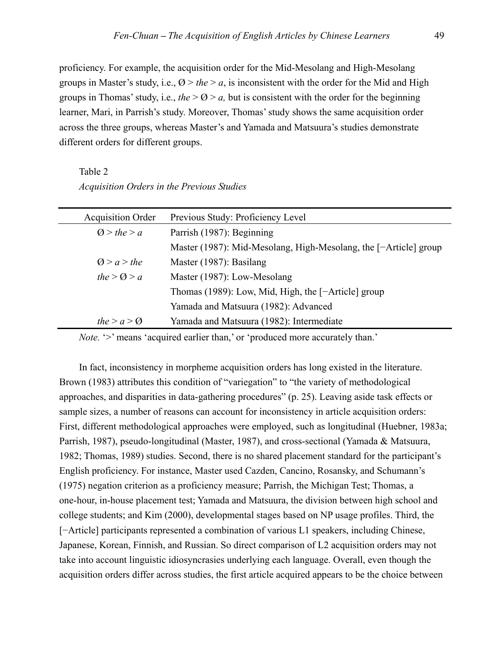proficiency. For example, the acquisition order for the Mid-Mesolang and High-Mesolang groups in Master's study, i.e.,  $\varnothing$  > *the* > *a*, is inconsistent with the order for the Mid and High groups in Thomas' study, i.e., *the*  $> Q > a$ , but is consistent with the order for the beginning learner, Mari, in Parrish's study. Moreover, Thomas' study shows the same acquisition order across the three groups, whereas Master's and Yamada and Matsuura's studies demonstrate different orders for different groups.

Table 2 *Acquisition Orders in the Previous Studies* 

| <b>Acquisition Order</b> | Previous Study: Proficiency Level                                |
|--------------------------|------------------------------------------------------------------|
| Q > the > a              | Parrish (1987): Beginning                                        |
|                          | Master (1987): Mid-Mesolang, High-Mesolang, the [-Article] group |
| Q > a > the              | Master (1987): Basilang                                          |
| the $> Q > a$            | Master (1987): Low-Mesolang                                      |
|                          | Thomas (1989): Low, Mid, High, the [-Article] group              |
|                          | Yamada and Matsuura (1982): Advanced                             |
| the $> a > \Omega$       | Yamada and Matsuura (1982): Intermediate                         |

*Note.* '>' means 'acquired earlier than,' or 'produced more accurately than.'

In fact, inconsistency in morpheme acquisition orders has long existed in the literature. Brown (1983) attributes this condition of "variegation" to "the variety of methodological approaches, and disparities in data-gathering procedures" (p. 25). Leaving aside task effects or sample sizes, a number of reasons can account for inconsistency in article acquisition orders: First, different methodological approaches were employed, such as longitudinal (Huebner, 1983a; Parrish, 1987), pseudo-longitudinal (Master, 1987), and cross-sectional (Yamada & Matsuura, 1982; Thomas, 1989) studies. Second, there is no shared placement standard for the participant's English proficiency. For instance, Master used Cazden, Cancino, Rosansky, and Schumann's (1975) negation criterion as a proficiency measure; Parrish, the Michigan Test; Thomas, a one-hour, in-house placement test; Yamada and Matsuura, the division between high school and college students; and Kim (2000), developmental stages based on NP usage profiles. Third, the [−Article] participants represented a combination of various L1 speakers, including Chinese, Japanese, Korean, Finnish, and Russian. So direct comparison of L2 acquisition orders may not take into account linguistic idiosyncrasies underlying each language. Overall, even though the acquisition orders differ across studies, the first article acquired appears to be the choice between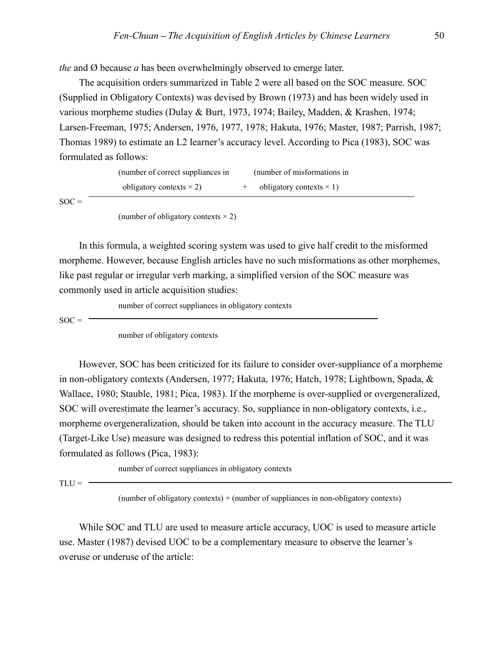*the* and Ø because *a* has been overwhelmingly observed to emerge later.

The acquisition orders summarized in Table 2 were all based on the SOC measure. SOC (Supplied in Obligatory Contexts) was devised by Brown (1973) and has been widely used in various morpheme studies (Dulay & Burt, 1973, 1974; Bailey, Madden, & Krashen, 1974; Larsen-Freeman, 1975; Andersen, 1976, 1977, 1978; Hakuta, 1976; Master, 1987; Parrish, 1987; Thomas 1989) to estimate an L2 learner's accuracy level. According to Pica (1983), SOC was formulated as follows:

| (number of correct suppliances in | (number of misformations in     |  |
|-----------------------------------|---------------------------------|--|
| obligatory contexts $\times$ 2)   | obligatory contexts $\times$ 1) |  |

 $SOC =$ 

(number of obligatory contexts  $\times$  2)

In this formula, a weighted scoring system was used to give half credit to the misformed morpheme. However, because English articles have no such misformations as other morphemes, like past regular or irregular verb marking, a simplified version of the SOC measure was commonly used in article acquisition studies:

number of correct suppliances in obligatory contexts

 $SOC =$ 

number of obligatory contexts

However, SOC has been criticized for its failure to consider over-suppliance of a morpheme in non-obligatory contexts (Andersen, 1977; Hakuta, 1976; Hatch, 1978; Lightbown, Spada, & Wallace, 1980; Stauble, 1981; Pica, 1983). If the morpheme is over-supplied or overgeneralized, SOC will overestimate the learner's accuracy. So, suppliance in non-obligatory contexts, i.e., morpheme overgeneralization, should be taken into account in the accuracy measure. The TLU (Target-Like Use) measure was designed to redress this potential inflation of SOC, and it was formulated as follows (Pica, 1983):

number of correct suppliances in obligatory contexts

 $TLU = -$ 

(number of obligatory contexts) + (number of suppliances in non-obligatory contexts)

While SOC and TLU are used to measure article accuracy, UOC is used to measure article use. Master (1987) devised UOC to be a complementary measure to observe the learner's overuse or underuse of the article: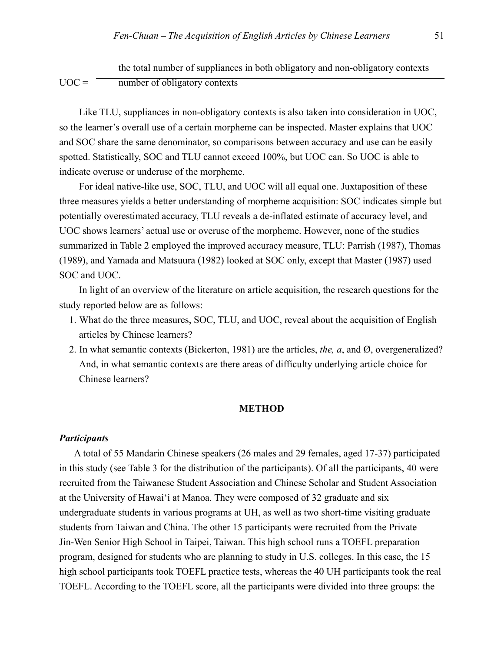the total number of suppliances in both obligatory and non-obligatory contexts  $UOC =$  number of obligatory contexts

Like TLU, suppliances in non-obligatory contexts is also taken into consideration in UOC, so the learner's overall use of a certain morpheme can be inspected. Master explains that UOC and SOC share the same denominator, so comparisons between accuracy and use can be easily spotted. Statistically, SOC and TLU cannot exceed 100%, but UOC can. So UOC is able to indicate overuse or underuse of the morpheme.

For ideal native-like use, SOC, TLU, and UOC will all equal one. Juxtaposition of these three measures yields a better understanding of morpheme acquisition: SOC indicates simple but potentially overestimated accuracy, TLU reveals a de-inflated estimate of accuracy level, and UOC shows learners' actual use or overuse of the morpheme. However, none of the studies summarized in Table 2 employed the improved accuracy measure, TLU: Parrish (1987), Thomas (1989), and Yamada and Matsuura (1982) looked at SOC only, except that Master (1987) used SOC and UOC.

In light of an overview of the literature on article acquisition, the research questions for the study reported below are as follows:

- 1. What do the three measures, SOC, TLU, and UOC, reveal about the acquisition of English articles by Chinese learners?
- 2. In what semantic contexts (Bickerton, 1981) are the articles, *the, a*, and Ø, overgeneralized? And, in what semantic contexts are there areas of difficulty underlying article choice for Chinese learners?

### **METHOD**

#### *Participants*

 A total of 55 Mandarin Chinese speakers (26 males and 29 females, aged 17-37) participated in this study (see Table 3 for the distribution of the participants). Of all the participants, 40 were recruited from the Taiwanese Student Association and Chinese Scholar and Student Association at the University of Hawai'i at Manoa. They were composed of 32 graduate and six undergraduate students in various programs at UH, as well as two short-time visiting graduate students from Taiwan and China. The other 15 participants were recruited from the Private Jin-Wen Senior High School in Taipei, Taiwan. This high school runs a TOEFL preparation program, designed for students who are planning to study in U.S. colleges. In this case, the 15 high school participants took TOEFL practice tests, whereas the 40 UH participants took the real TOEFL. According to the TOEFL score, all the participants were divided into three groups: the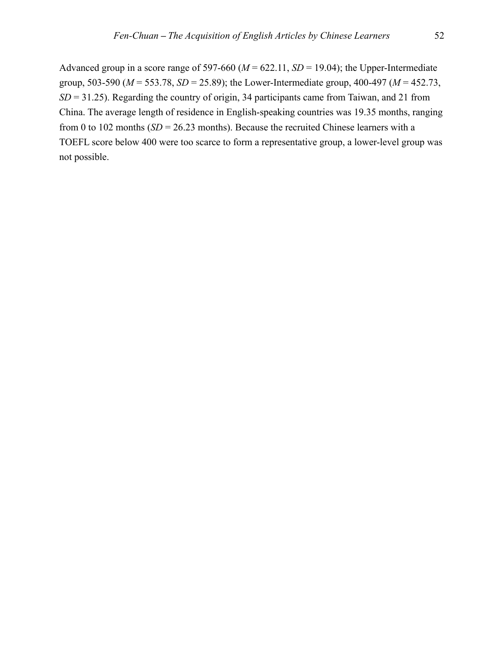Advanced group in a score range of 597-660 ( $M = 622.11$ ,  $SD = 19.04$ ); the Upper-Intermediate group, 503-590 (*M* = 553.78, *SD* = 25.89); the Lower-Intermediate group, 400-497 (*M* = 452.73, *SD* = 31.25). Regarding the country of origin, 34 participants came from Taiwan, and 21 from China. The average length of residence in English-speaking countries was 19.35 months, ranging from 0 to 102 months (*SD* = 26.23 months). Because the recruited Chinese learners with a TOEFL score below 400 were too scarce to form a representative group, a lower-level group was not possible.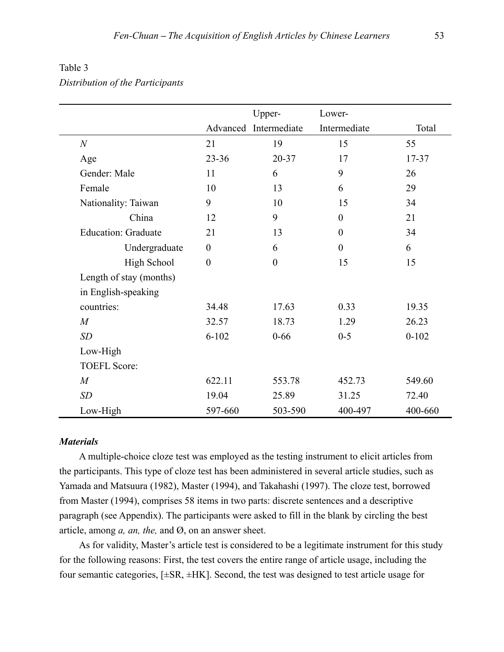|                            |                  | Upper-                | Lower-           |           |
|----------------------------|------------------|-----------------------|------------------|-----------|
|                            |                  | Advanced Intermediate | Intermediate     | Total     |
| $\boldsymbol{N}$           | 21               | 19                    | 15               | 55        |
| Age                        | $23 - 36$        | 20-37                 | 17               | 17-37     |
| Gender: Male               | 11               | 6                     | 9                | 26        |
| Female                     | 10               | 13                    | 6                | 29        |
| Nationality: Taiwan        | 9                | 10                    | 15               | 34        |
| China                      | 12               | 9                     | $\theta$         | 21        |
| <b>Education: Graduate</b> | 21               | 13                    | $\boldsymbol{0}$ | 34        |
| Undergraduate              | $\boldsymbol{0}$ | 6                     | $\theta$         | 6         |
| <b>High School</b>         | $\boldsymbol{0}$ | $\boldsymbol{0}$      | 15               | 15        |
| Length of stay (months)    |                  |                       |                  |           |
| in English-speaking        |                  |                       |                  |           |
| countries:                 | 34.48            | 17.63                 | 0.33             | 19.35     |
| $\boldsymbol{M}$           | 32.57            | 18.73                 | 1.29             | 26.23     |
| SD                         | $6 - 102$        | $0 - 66$              | $0 - 5$          | $0 - 102$ |
| Low-High                   |                  |                       |                  |           |
| <b>TOEFL Score:</b>        |                  |                       |                  |           |
| $\overline{M}$             | 622.11           | 553.78                | 452.73           | 549.60    |
| SD                         | 19.04            | 25.89                 | 31.25            | 72.40     |
| Low-High                   | 597-660          | 503-590               | 400-497          | 400-660   |

# Table 3 *Distribution of the Participants*

### *Materials*

A multiple-choice cloze test was employed as the testing instrument to elicit articles from the participants. This type of cloze test has been administered in several article studies, such as Yamada and Matsuura (1982), Master (1994), and Takahashi (1997). The cloze test, borrowed from Master (1994), comprises 58 items in two parts: discrete sentences and a descriptive paragraph (see Appendix). The participants were asked to fill in the blank by circling the best article, among *a, an, the,* and Ø, on an answer sheet.

As for validity, Master's article test is considered to be a legitimate instrument for this study for the following reasons: First, the test covers the entire range of article usage, including the four semantic categories, [±SR, ±HK]. Second, the test was designed to test article usage for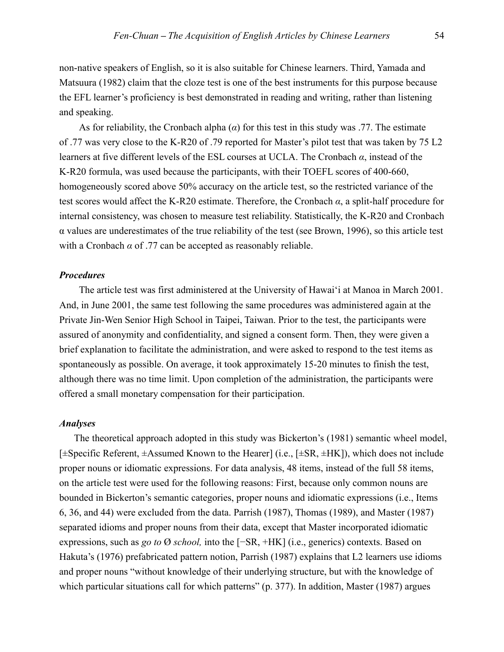non-native speakers of English, so it is also suitable for Chinese learners. Third, Yamada and Matsuura (1982) claim that the cloze test is one of the best instruments for this purpose because the EFL learner's proficiency is best demonstrated in reading and writing, rather than listening and speaking.

As for reliability, the Cronbach alpha (*α*) for this test in this study was .77. The estimate of .77 was very close to the K-R20 of .79 reported for Master's pilot test that was taken by 75 L2 learners at five different levels of the ESL courses at UCLA. The Cronbach *α*, instead of the K-R20 formula, was used because the participants, with their TOEFL scores of 400-660, homogeneously scored above 50% accuracy on the article test, so the restricted variance of the test scores would affect the K-R20 estimate. Therefore, the Cronbach *α*, a split-half procedure for internal consistency, was chosen to measure test reliability. Statistically, the K-R20 and Cronbach α values are underestimates of the true reliability of the test (see Brown, 1996), so this article test with a Cronbach  $\alpha$  of .77 can be accepted as reasonably reliable.

### *Procedures*

The article test was first administered at the University of Hawai'i at Manoa in March 2001. And, in June 2001, the same test following the same procedures was administered again at the Private Jin-Wen Senior High School in Taipei, Taiwan. Prior to the test, the participants were assured of anonymity and confidentiality, and signed a consent form. Then, they were given a brief explanation to facilitate the administration, and were asked to respond to the test items as spontaneously as possible. On average, it took approximately 15-20 minutes to finish the test, although there was no time limit. Upon completion of the administration, the participants were offered a small monetary compensation for their participation.

## *Analyses*

 The theoretical approach adopted in this study was Bickerton's (1981) semantic wheel model, [±Specific Referent, ±Assumed Known to the Hearer] (i.e., [±SR, ±HK]), which does not include proper nouns or idiomatic expressions. For data analysis, 48 items, instead of the full 58 items, on the article test were used for the following reasons: First, because only common nouns are bounded in Bickerton's semantic categories, proper nouns and idiomatic expressions (i.e., Items 6, 36, and 44) were excluded from the data. Parrish (1987), Thomas (1989), and Master (1987) separated idioms and proper nouns from their data, except that Master incorporated idiomatic expressions, such as *go to* Ø *school,* into the [−SR, +HK] (i.e., generics) contexts. Based on Hakuta's (1976) prefabricated pattern notion, Parrish (1987) explains that L2 learners use idioms and proper nouns "without knowledge of their underlying structure, but with the knowledge of which particular situations call for which patterns" (p. 377). In addition, Master (1987) argues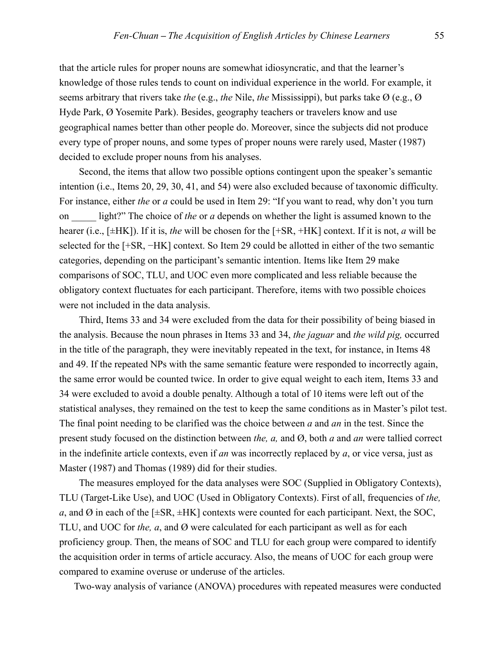that the article rules for proper nouns are somewhat idiosyncratic, and that the learner's knowledge of those rules tends to count on individual experience in the world. For example, it seems arbitrary that rivers take *the* (e.g., *the* Nile, *the* Mississippi), but parks take Ø (e.g., Ø Hyde Park, Ø Yosemite Park). Besides, geography teachers or travelers know and use geographical names better than other people do. Moreover, since the subjects did not produce every type of proper nouns, and some types of proper nouns were rarely used, Master (1987) decided to exclude proper nouns from his analyses.

Second, the items that allow two possible options contingent upon the speaker's semantic intention (i.e., Items 20, 29, 30, 41, and 54) were also excluded because of taxonomic difficulty. For instance, either *the* or *a* could be used in Item 29: "If you want to read, why don't you turn on light?" The choice of *the* or *a* depends on whether the light is assumed known to the hearer (i.e., [±HK]). If it is, *the* will be chosen for the [+SR, +HK] context. If it is not, *a* will be selected for the [+SR, −HK] context. So Item 29 could be allotted in either of the two semantic categories, depending on the participant's semantic intention. Items like Item 29 make comparisons of SOC, TLU, and UOC even more complicated and less reliable because the obligatory context fluctuates for each participant. Therefore, items with two possible choices were not included in the data analysis.

Third, Items 33 and 34 were excluded from the data for their possibility of being biased in the analysis. Because the noun phrases in Items 33 and 34, *the jaguar* and *the wild pig,* occurred in the title of the paragraph, they were inevitably repeated in the text, for instance, in Items 48 and 49. If the repeated NPs with the same semantic feature were responded to incorrectly again, the same error would be counted twice. In order to give equal weight to each item, Items 33 and 34 were excluded to avoid a double penalty. Although a total of 10 items were left out of the statistical analyses, they remained on the test to keep the same conditions as in Master's pilot test. The final point needing to be clarified was the choice between *a* and *an* in the test. Since the present study focused on the distinction between *the, a,* and Ø, both *a* and *an* were tallied correct in the indefinite article contexts, even if *an* was incorrectly replaced by *a*, or vice versa, just as Master (1987) and Thomas (1989) did for their studies.

The measures employed for the data analyses were SOC (Supplied in Obligatory Contexts), TLU (Target-Like Use), and UOC (Used in Obligatory Contexts). First of all, frequencies of *the, a*, and Ø in each of the  $[\pm SR, \pm HK]$  contexts were counted for each participant. Next, the SOC, TLU, and UOC for *the, a*, and Ø were calculated for each participant as well as for each proficiency group. Then, the means of SOC and TLU for each group were compared to identify the acquisition order in terms of article accuracy. Also, the means of UOC for each group were compared to examine overuse or underuse of the articles.

Two-way analysis of variance (ANOVA) procedures with repeated measures were conducted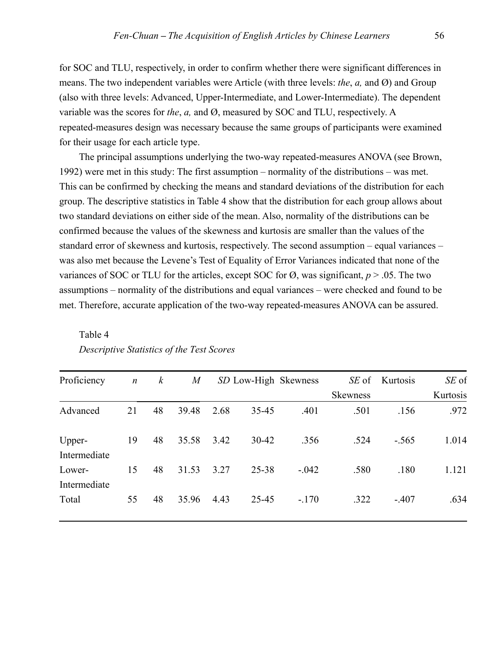for SOC and TLU, respectively, in order to confirm whether there were significant differences in means. The two independent variables were Article (with three levels: *the*, *a,* and Ø) and Group (also with three levels: Advanced, Upper-Intermediate, and Lower-Intermediate). The dependent variable was the scores for *the*, *a,* and Ø, measured by SOC and TLU, respectively. A repeated-measures design was necessary because the same groups of participants were examined for their usage for each article type.

The principal assumptions underlying the two-way repeated-measures ANOVA (see Brown, 1992) were met in this study: The first assumption – normality of the distributions – was met. This can be confirmed by checking the means and standard deviations of the distribution for each group. The descriptive statistics in Table 4 show that the distribution for each group allows about two standard deviations on either side of the mean. Also, normality of the distributions can be confirmed because the values of the skewness and kurtosis are smaller than the values of the standard error of skewness and kurtosis, respectively. The second assumption – equal variances – was also met because the Levene's Test of Equality of Error Variances indicated that none of the variances of SOC or TLU for the articles, except SOC for  $\emptyset$ , was significant,  $p > .05$ . The two assumptions – normality of the distributions and equal variances – were checked and found to be met. Therefore, accurate application of the two-way repeated-measures ANOVA can be assured.

| Proficiency            | $\boldsymbol{n}$ | $\boldsymbol{k}$ | $\boldsymbol{M}$ |      |           | SD Low-High Skewness | SE of           | Kurtosis | SE of    |
|------------------------|------------------|------------------|------------------|------|-----------|----------------------|-----------------|----------|----------|
|                        |                  |                  |                  |      |           |                      | <b>Skewness</b> |          | Kurtosis |
| Advanced               | 21               | 48               | 39.48            | 2.68 | $35 - 45$ | .401                 | .501            | .156     | .972     |
| Upper-<br>Intermediate | 19               | 48               | 35.58            | 3.42 | $30 - 42$ | .356                 | .524            | $-.565$  | 1.014    |
| Lower-<br>Intermediate | 15               | 48               | 31.53            | 3.27 | 25-38     | $-.042$              | .580            | .180     | 1.121    |
| Total                  | 55               | 48               | 35.96            | 4.43 | 25-45     | $-.170$              | .322            | $-.407$  | .634     |

# Table 4 *Descriptive Statistics of the Test Scores*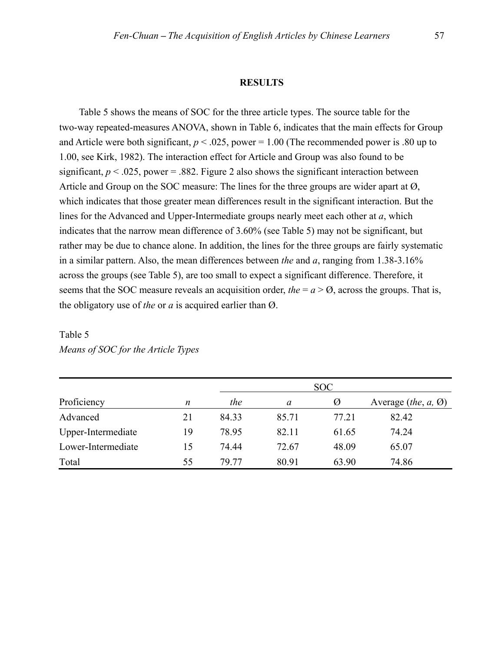#### **RESULTS**

Table 5 shows the means of SOC for the three article types. The source table for the two-way repeated-measures ANOVA, shown in Table 6, indicates that the main effects for Group and Article were both significant,  $p < .025$ , power = 1.00 (The recommended power is .80 up to 1.00, see Kirk, 1982). The interaction effect for Article and Group was also found to be significant,  $p < .025$ , power = .882. Figure 2 also shows the significant interaction between Article and Group on the SOC measure: The lines for the three groups are wider apart at  $\varnothing$ , which indicates that those greater mean differences result in the significant interaction. But the lines for the Advanced and Upper-Intermediate groups nearly meet each other at *a*, which indicates that the narrow mean difference of 3.60% (see Table 5) may not be significant, but rather may be due to chance alone. In addition, the lines for the three groups are fairly systematic in a similar pattern. Also, the mean differences between *the* and *a*, ranging from 1.38-3.16% across the groups (see Table 5), are too small to expect a significant difference. Therefore, it seems that the SOC measure reveals an acquisition order, *the* =  $a > \emptyset$ , across the groups. That is, the obligatory use of *the* or *a* is acquired earlier than Ø.

|                    |    | SOC   |       |       |                                            |  |
|--------------------|----|-------|-------|-------|--------------------------------------------|--|
| Proficiency        | n  | the   | a     | Ø     | Average ( <i>the</i> , $a$ , $\emptyset$ ) |  |
| Advanced           | 21 | 84.33 | 85.71 | 77.21 | 82.42                                      |  |
| Upper-Intermediate | 19 | 78.95 | 82.11 | 61.65 | 74.24                                      |  |
| Lower-Intermediate | 15 | 74.44 | 72.67 | 48.09 | 65.07                                      |  |
| Total              | 55 | 79 77 | 80.91 | 63.90 | 74.86                                      |  |

# Table 5 *Means of SOC for the Article Types*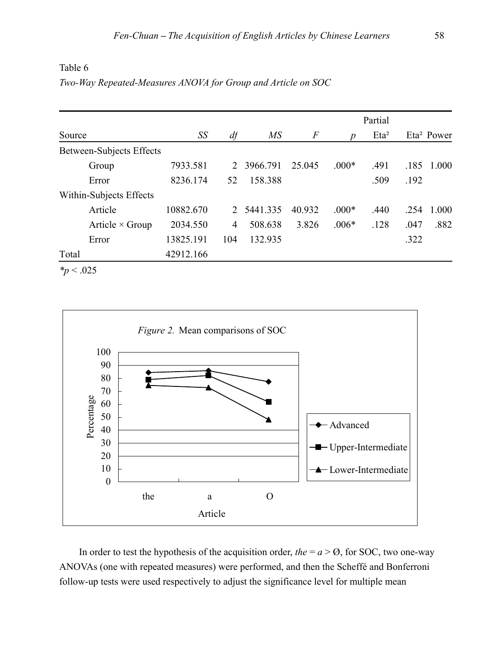|                          |           |                |            |        |                  | Partial          |      |                        |
|--------------------------|-----------|----------------|------------|--------|------------------|------------------|------|------------------------|
| Source                   | SS        | df             | MS         | $\,F$  | $\boldsymbol{p}$ | Eta <sup>2</sup> |      | Eta <sup>2</sup> Power |
| Between-Subjects Effects |           |                |            |        |                  |                  |      |                        |
| Group                    | 7933.581  | 2              | 3966.791   | 25.045 | $.000*$          | .491             | .185 | 1.000                  |
| Error                    | 8236.174  | 52             | 158.388    |        |                  | .509             | .192 |                        |
| Within-Subjects Effects  |           |                |            |        |                  |                  |      |                        |
| Article                  | 10882.670 |                | 2 5441.335 | 40.932 | $.000*$          | .440             | .254 | 1.000                  |
| Article $\times$ Group   | 2034.550  | $\overline{4}$ | 508.638    | 3.826  | $.006*$          | .128             | .047 | .882                   |
| Error                    | 13825.191 | 104            | 132.935    |        |                  |                  | .322 |                        |
| Total                    | 42912.166 |                |            |        |                  |                  |      |                        |
| $*_p$ < .025             |           |                |            |        |                  |                  |      |                        |

Table 6 *Two-Way Repeated-Measures ANOVA for Group and Article on SOC* 



In order to test the hypothesis of the acquisition order, the  $= a > 0$ , for SOC, two one-way ANOVAs (one with repeated measures) were performed, and then the Scheffé and Bonferroni follow-up tests were used respectively to adjust the significance level for multiple mean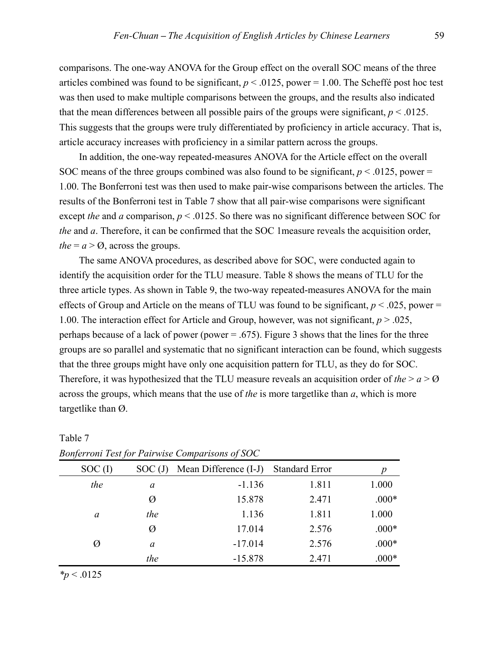comparisons. The one-way ANOVA for the Group effect on the overall SOC means of the three articles combined was found to be significant,  $p < .0125$ , power  $= 1.00$ . The Scheffé post hoc test was then used to make multiple comparisons between the groups, and the results also indicated that the mean differences between all possible pairs of the groups were significant,  $p < .0125$ . This suggests that the groups were truly differentiated by proficiency in article accuracy. That is, article accuracy increases with proficiency in a similar pattern across the groups.

In addition, the one-way repeated-measures ANOVA for the Article effect on the overall SOC means of the three groups combined was also found to be significant,  $p < .0125$ , power = 1.00. The Bonferroni test was then used to make pair-wise comparisons between the articles. The results of the Bonferroni test in Table 7 show that all pair-wise comparisons were significant except *the* and *a* comparison,  $p < .0125$ . So there was no significant difference between SOC for *the* and *a*. Therefore, it can be confirmed that the SOC 1measure reveals the acquisition order, *the* =  $a > 0$ , across the groups.

The same ANOVA procedures, as described above for SOC, were conducted again to identify the acquisition order for the TLU measure. Table 8 shows the means of TLU for the three article types. As shown in Table 9, the two-way repeated-measures ANOVA for the main effects of Group and Article on the means of TLU was found to be significant,  $p < .025$ , power = 1.00. The interaction effect for Article and Group, however, was not significant, *p* > .025, perhaps because of a lack of power (power  $= .675$ ). Figure 3 shows that the lines for the three groups are so parallel and systematic that no significant interaction can be found, which suggests that the three groups might have only one acquisition pattern for TLU, as they do for SOC. Therefore, it was hypothesized that the TLU measure reveals an acquisition order of *the*  $> a > 0$ across the groups, which means that the use of *the* is more targetlike than *a*, which is more targetlike than Ø.

| $\tilde{\phantom{a}}$ |        |                       |                       |         |
|-----------------------|--------|-----------------------|-----------------------|---------|
| $SOC$ (I)             | SOC(J) | Mean Difference (I-J) | <b>Standard Error</b> |         |
| the                   | a      | $-1.136$              | 1.811                 | 1.000   |
|                       | Ø      | 15.878                | 2.471                 | $.000*$ |
| a                     | the    | 1.136                 | 1.811                 | 1.000   |
|                       | Ø      | 17.014                | 2.576                 | $.000*$ |
| Ø                     | a      | $-17.014$             | 2.576                 | $.000*$ |
|                       | the    | $-15.878$             | 2.471                 | $.000*$ |

| $1$ aviv $1$ |                                                 |  |
|--------------|-------------------------------------------------|--|
|              | Bonferroni Test for Pairwise Comparisons of SOC |  |

*\*p* < .0125

Table 7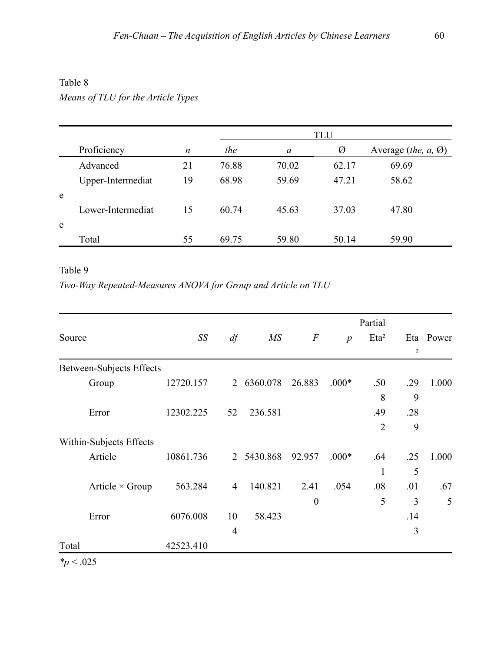## Table 8

# *Means of TLU for the Article Types*

|   |                   |    |       | <b>TLU</b> |       |                                                                |  |  |
|---|-------------------|----|-------|------------|-------|----------------------------------------------------------------|--|--|
|   | Proficiency       | n  | the   | a          | Ø     | Average ( <i>the, <math>a</math>, <math>\emptyset</math></i> ) |  |  |
|   | Advanced          | 21 | 76.88 | 70.02      | 62.17 | 69.69                                                          |  |  |
|   | Upper-Intermediat | 19 | 68.98 | 59.69      | 47.21 | 58.62                                                          |  |  |
| e |                   |    |       |            |       |                                                                |  |  |
|   | Lower-Intermediat | 15 | 60.74 | 45.63      | 37.03 | 47.80                                                          |  |  |
| e |                   |    |       |            |       |                                                                |  |  |
|   | Total             | 55 | 69.75 | 59.80      | 50.14 | 59.90                                                          |  |  |

# Table 9

# *Two-Way Repeated-Measures ANOVA for Group and Article on TLU*

|        |                                 |           |                |                 |                  |                  | Partial        |     |           |
|--------|---------------------------------|-----------|----------------|-----------------|------------------|------------------|----------------|-----|-----------|
| Source |                                 | SS        | df             | $\overline{MS}$ | $\,F$            | $\boldsymbol{p}$ | $Eta^2$        |     | Eta Power |
|        |                                 |           |                |                 |                  |                  |                | 2   |           |
|        | <b>Between-Subjects Effects</b> |           |                |                 |                  |                  |                |     |           |
|        | Group                           | 12720.157 | $\overline{2}$ | 6360.078        | 26.883           | $.000*$          | .50            | .29 | 1.000     |
|        |                                 |           |                |                 |                  |                  | 8              | 9   |           |
|        | Error                           | 12302.225 | 52             | 236.581         |                  |                  | .49            | .28 |           |
|        |                                 |           |                |                 |                  |                  | $\overline{2}$ | 9   |           |
|        | Within-Subjects Effects         |           |                |                 |                  |                  |                |     |           |
|        | Article                         | 10861.736 | 2              | 5430.868        | 92.957           | $.000*$          | .64            | .25 | 1.000     |
|        |                                 |           |                |                 |                  |                  | 1              | 5   |           |
|        | Article $\times$ Group          | 563.284   | $\overline{4}$ | 140.821         | 2.41             | .054             | .08            | .01 | .67       |
|        |                                 |           |                |                 | $\boldsymbol{0}$ |                  | 5              | 3   | 5         |
|        | Error                           | 6076.008  | 10             | 58.423          |                  |                  |                | .14 |           |
|        |                                 |           | $\overline{4}$ |                 |                  |                  |                | 3   |           |
| Total  |                                 | 42523.410 |                |                 |                  |                  |                |     |           |

*\*p* < .025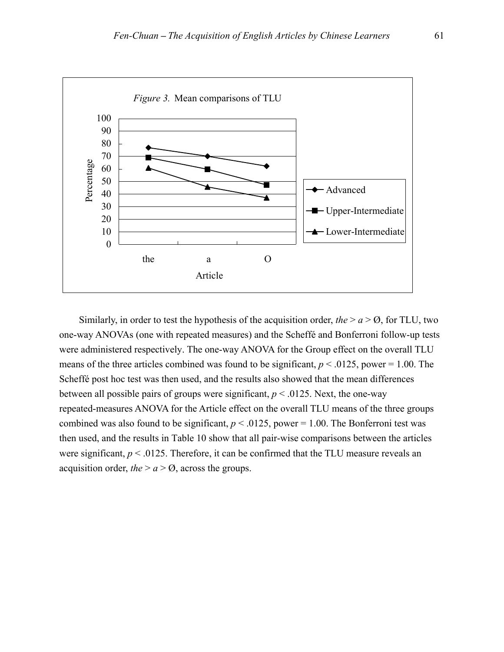

Similarly, in order to test the hypothesis of the acquisition order, *the*  $> a > 0$ , for TLU, two one-way ANOVAs (one with repeated measures) and the Scheffé and Bonferroni follow-up tests were administered respectively. The one-way ANOVA for the Group effect on the overall TLU means of the three articles combined was found to be significant,  $p < .0125$ , power = 1.00. The Scheffé post hoc test was then used, and the results also showed that the mean differences between all possible pairs of groups were significant,  $p < .0125$ . Next, the one-way repeated-measures ANOVA for the Article effect on the overall TLU means of the three groups combined was also found to be significant,  $p < .0125$ , power = 1.00. The Bonferroni test was then used, and the results in Table 10 show that all pair-wise comparisons between the articles were significant,  $p < 0.0125$ . Therefore, it can be confirmed that the TLU measure reveals an acquisition order, *the*  $> a > \emptyset$ , across the groups.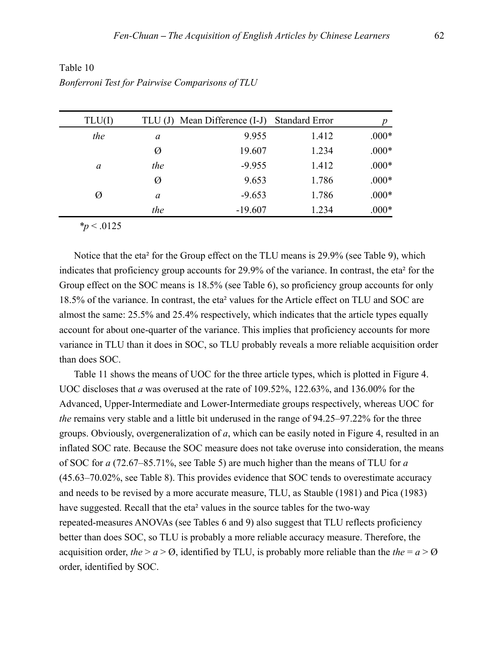| TLU(I) | TLU(J) | Mean Difference (I-J) | <b>Standard Error</b> | p       |
|--------|--------|-----------------------|-----------------------|---------|
| the    | a      | 9.955                 | 1.412                 | $.000*$ |
|        | Ø      | 19.607                | 1.234                 | $.000*$ |
| a      | the    | $-9.955$              | 1.412                 | $.000*$ |
|        | Ø      | 9.653                 | 1.786                 | $.000*$ |
| Ø      | a      | $-9.653$              | 1.786                 | $.000*$ |
|        | the    | $-19.607$             | 1.234                 | $.000*$ |
|        |        |                       |                       |         |

Table 10 *Bonferroni Test for Pairwise Comparisons of TLU* 

*\*p* < .0125

 Notice that the eta² for the Group effect on the TLU means is 29.9% (see Table 9), which indicates that proficiency group accounts for 29.9% of the variance. In contrast, the eta² for the Group effect on the SOC means is 18.5% (see Table 6), so proficiency group accounts for only 18.5% of the variance. In contrast, the eta² values for the Article effect on TLU and SOC are almost the same: 25.5% and 25.4% respectively, which indicates that the article types equally account for about one-quarter of the variance. This implies that proficiency accounts for more variance in TLU than it does in SOC, so TLU probably reveals a more reliable acquisition order than does SOC.

 Table 11 shows the means of UOC for the three article types, which is plotted in Figure 4. UOC discloses that *a* was overused at the rate of 109.52%, 122.63%, and 136.00% for the Advanced, Upper-Intermediate and Lower-Intermediate groups respectively, whereas UOC for *the* remains very stable and a little bit underused in the range of 94.25–97.22% for the three groups. Obviously, overgeneralization of *a*, which can be easily noted in Figure 4, resulted in an inflated SOC rate. Because the SOC measure does not take overuse into consideration, the means of SOC for *a* (72.67–85.71%, see Table 5) are much higher than the means of TLU for *a* (45.63–70.02%, see Table 8). This provides evidence that SOC tends to overestimate accuracy and needs to be revised by a more accurate measure, TLU, as Stauble (1981) and Pica (1983) have suggested. Recall that the eta² values in the source tables for the two-way repeated-measures ANOVAs (see Tables 6 and 9) also suggest that TLU reflects proficiency better than does SOC, so TLU is probably a more reliable accuracy measure. Therefore, the acquisition order, *the*  $> a > 0$ , identified by TLU, is probably more reliable than the *the*  $= a > 0$ order, identified by SOC.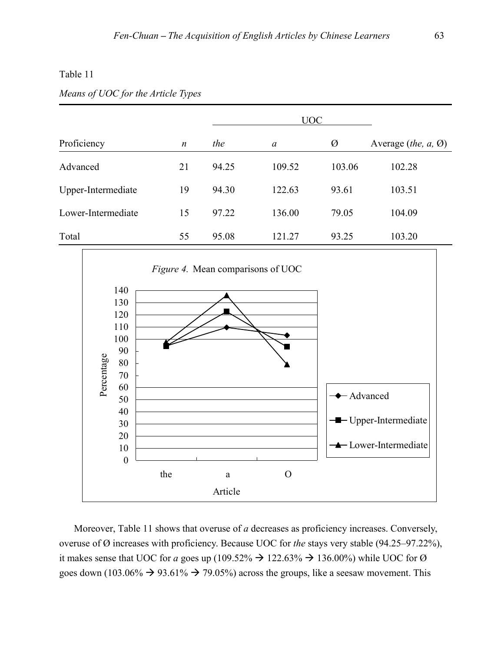## Table 11

## *Means of UOC for the Article Types*

|                    |                  |       | <b>UOC</b> |        |                                                                |
|--------------------|------------------|-------|------------|--------|----------------------------------------------------------------|
| Proficiency        | $\boldsymbol{n}$ | the   | a          | Ø      | Average ( <i>the, <math>a</math>, <math>\emptyset</math></i> ) |
| Advanced           | 21               | 94.25 | 109.52     | 103.06 | 102.28                                                         |
| Upper-Intermediate | 19               | 94.30 | 122.63     | 93.61  | 103.51                                                         |
| Lower-Intermediate | 15               | 97.22 | 136.00     | 79.05  | 104.09                                                         |
| Total              | 55               | 95.08 | 121.27     | 93.25  | 103.20                                                         |



 Moreover, Table 11 shows that overuse of *a* decreases as proficiency increases. Conversely, overuse of Ø increases with proficiency. Because UOC for *the* stays very stable (94.25–97.22%), it makes sense that UOC for *a* goes up (109.52%  $\rightarrow$  122.63%  $\rightarrow$  136.00%) while UOC for Ø goes down (103.06%  $\rightarrow$  93.61%  $\rightarrow$  79.05%) across the groups, like a seesaw movement. This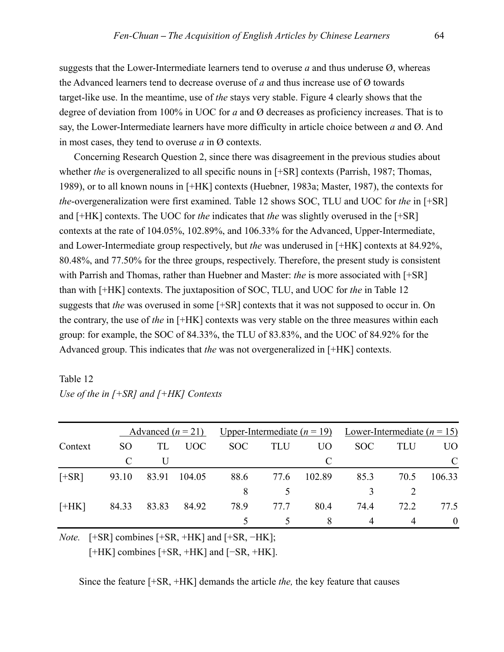suggests that the Lower-Intermediate learners tend to overuse *a* and thus underuse Ø, whereas the Advanced learners tend to decrease overuse of *a* and thus increase use of Ø towards target-like use. In the meantime, use of *the* stays very stable. Figure 4 clearly shows that the degree of deviation from 100% in UOC for *a* and Ø decreases as proficiency increases. That is to say, the Lower-Intermediate learners have more difficulty in article choice between *a* and Ø. And in most cases, they tend to overuse *a* in Ø contexts.

 Concerning Research Question 2, since there was disagreement in the previous studies about whether *the* is overgeneralized to all specific nouns in [+SR] contexts (Parrish, 1987; Thomas, 1989), or to all known nouns in [+HK] contexts (Huebner, 1983a; Master, 1987), the contexts for *the*-overgeneralization were first examined. Table 12 shows SOC, TLU and UOC for *the* in [+SR] and [+HK] contexts. The UOC for *the* indicates that *the* was slightly overused in the [+SR] contexts at the rate of 104.05%, 102.89%, and 106.33% for the Advanced, Upper-Intermediate, and Lower-Intermediate group respectively, but *the* was underused in [+HK] contexts at 84.92%, 80.48%, and 77.50% for the three groups, respectively. Therefore, the present study is consistent with Parrish and Thomas, rather than Huebner and Master: *the* is more associated with [+SR] than with [+HK] contexts. The juxtaposition of SOC, TLU, and UOC for *the* in Table 12 suggests that *the* was overused in some [+SR] contexts that it was not supposed to occur in. On the contrary, the use of *the* in [+HK] contexts was very stable on the three measures within each group: for example, the SOC of 84.33%, the TLU of 83.83%, and the UOC of 84.92% for the Advanced group. This indicates that *the* was not overgeneralized in [+HK] contexts.

# Table 12 *Use of the in [+SR] and [+HK] Contexts*

|         |       |       |            |      |            |                | Advanced $(n = 21)$ Upper-Intermediate $(n = 19)$ Lower-Intermediate $(n = 15)$ |            |                |  |
|---------|-------|-------|------------|------|------------|----------------|---------------------------------------------------------------------------------|------------|----------------|--|
| Context | SO.   | TL    | <b>UOC</b> | SOC  | <b>TLU</b> | U <sub>O</sub> | <b>SOC</b>                                                                      | <b>TLU</b> | U <sub>O</sub> |  |
|         |       |       |            |      |            | C              |                                                                                 |            |                |  |
| $[+SR]$ | 93.10 | 83.91 | 104.05     | 88.6 | 77.6       | 102.89         | 85.3                                                                            | 70.5       | 106.33         |  |
|         |       |       |            | 8    |            |                |                                                                                 |            |                |  |
| $[+HK]$ | 84.33 | 83.83 | 84.92      | 78.9 | 77 7       | 80.4           | 74.4                                                                            | 72.2       | 77.5           |  |
|         |       |       |            |      |            |                |                                                                                 |            |                |  |

*Note.* [+SR] combines [+SR, +HK] and [+SR, −HK]; [+HK] combines [+SR, +HK] and [−SR, +HK].

Since the feature [+SR, +HK] demands the article *the,* the key feature that causes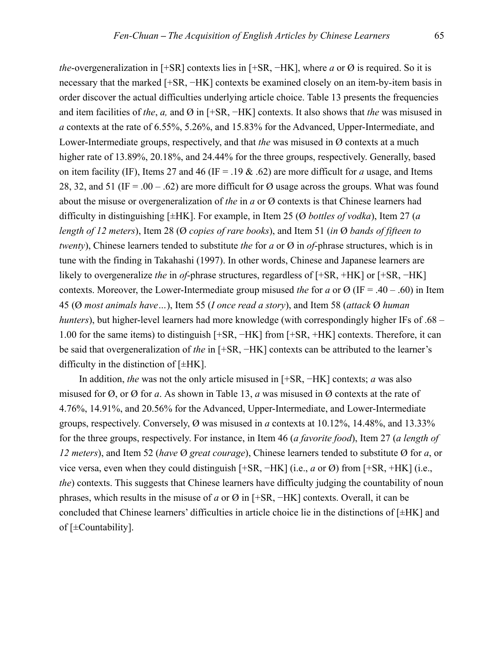*the*-overgeneralization in [+SR] contexts lies in [+SR, −HK], where *a* or Ø is required. So it is necessary that the marked [+SR, −HK] contexts be examined closely on an item-by-item basis in order discover the actual difficulties underlying article choice. Table 13 presents the frequencies and item facilities of *the*, *a,* and Ø in [+SR, −HK] contexts. It also shows that *the* was misused in *a* contexts at the rate of 6.55%, 5.26%, and 15.83% for the Advanced, Upper-Intermediate, and Lower-Intermediate groups, respectively, and that *the* was misused in Ø contexts at a much higher rate of 13.89%, 20.18%, and 24.44% for the three groups, respectively. Generally, based on item facility (IF), Items 27 and 46 (IF = .19  $\&$  .62) are more difficult for *a* usage, and Items 28, 32, and 51 (IF = .00 – .62) are more difficult for  $\varnothing$  usage across the groups. What was found about the misuse or overgeneralization of *the* in *a* or Ø contexts is that Chinese learners had difficulty in distinguishing [±HK]. For example, in Item 25 (Ø *bottles of vodka*), Item 27 (*a length of 12 meters*), Item 28 (Ø *copies of rare books*), and Item 51 (*in* Ø *bands of fifteen to twenty*), Chinese learners tended to substitute *the* for *a* or Ø in *of*-phrase structures, which is in tune with the finding in Takahashi (1997). In other words, Chinese and Japanese learners are likely to overgeneralize *the* in *of*-phrase structures, regardless of [+SR, +HK] or [+SR, −HK] contexts. Moreover, the Lower-Intermediate group misused *the* for *a* or  $\varnothing$  (IF = .40 – .60) in Item 45 (Ø *most animals have…*), Item 55 (*I once read a story*), and Item 58 (*attack* Ø *human hunters*), but higher-level learners had more knowledge (with correspondingly higher IFs of .68 – 1.00 for the same items) to distinguish [+SR, −HK] from [+SR, +HK] contexts. Therefore, it can be said that overgeneralization of *the* in [+SR, −HK] contexts can be attributed to the learner's difficulty in the distinction of  $[±HK]$ .

In addition, *the* was not the only article misused in [+SR, −HK] contexts; *a* was also misused for Ø, or Ø for *a*. As shown in Table 13, *a* was misused in Ø contexts at the rate of 4.76%, 14.91%, and 20.56% for the Advanced, Upper-Intermediate, and Lower-Intermediate groups, respectively. Conversely, Ø was misused in *a* contexts at 10.12%, 14.48%, and 13.33% for the three groups, respectively. For instance, in Item 46 (*a favorite food*), Item 27 (*a length of 12 meters*), and Item 52 (*have* Ø *great courage*), Chinese learners tended to substitute Ø for *a*, or vice versa, even when they could distinguish [+SR, −HK] (i.e., *a* or Ø) from [+SR, +HK] (i.e., *the*) contexts. This suggests that Chinese learners have difficulty judging the countability of noun phrases, which results in the misuse of *a* or Ø in [+SR, −HK] contexts. Overall, it can be concluded that Chinese learners' difficulties in article choice lie in the distinctions of [±HK] and of [±Countability].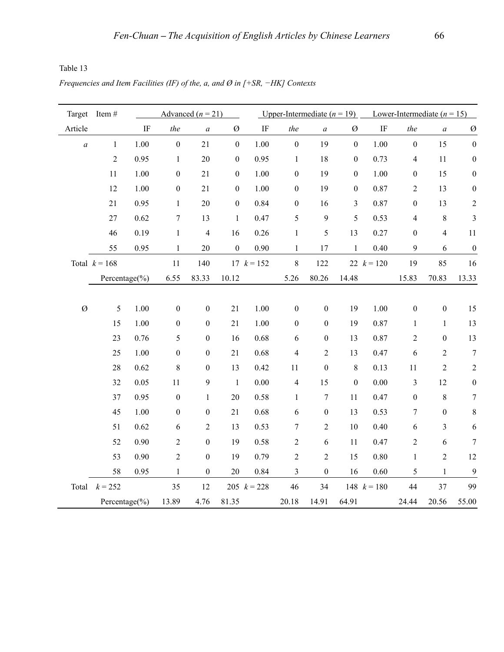Table 13

*Frequencies and Item Facilities (IF) of the, a, and Ø in [+SR,*  $−$ *<i>HK] Contexts* 

| Target           | Item#              | Advanced $(n = 21)$ |                  |                  |                  |               | Upper-Intermediate $(n = 19)$ |                  |                  | Lower-Intermediate $(n = 15)$ |                  |                  |                  |
|------------------|--------------------|---------------------|------------------|------------------|------------------|---------------|-------------------------------|------------------|------------------|-------------------------------|------------------|------------------|------------------|
| Article          |                    | IF                  | the              | $\boldsymbol{a}$ | Ø                | $\rm IF$      | the                           | $\boldsymbol{a}$ | Ø                | $\rm IF$                      | the              | $\boldsymbol{a}$ | Ø                |
| $\boldsymbol{a}$ | $\mathbf 1$        | 1.00                | $\boldsymbol{0}$ | 21               | $\boldsymbol{0}$ | 1.00          | $\boldsymbol{0}$              | 19               | $\boldsymbol{0}$ | 1.00                          | $\boldsymbol{0}$ | 15               | $\boldsymbol{0}$ |
|                  | $\overline{2}$     | 0.95                | $\mathbf{1}$     | 20               | $\boldsymbol{0}$ | 0.95          | $\mathbf{1}$                  | 18               | $\boldsymbol{0}$ | 0.73                          | $\overline{4}$   | 11               | $\boldsymbol{0}$ |
|                  | $11\,$             | 1.00                | $\boldsymbol{0}$ | 21               | $\boldsymbol{0}$ | 1.00          | $\boldsymbol{0}$              | 19               | $\boldsymbol{0}$ | 1.00                          | $\boldsymbol{0}$ | 15               | $\boldsymbol{0}$ |
|                  | 12                 | 1.00                | $\boldsymbol{0}$ | 21               | $\boldsymbol{0}$ | 1.00          | $\boldsymbol{0}$              | 19               | $\boldsymbol{0}$ | 0.87                          | $\overline{2}$   | 13               | $\boldsymbol{0}$ |
|                  | $21$               | 0.95                | $\mathbf{1}$     | $20\,$           | $\boldsymbol{0}$ | 0.84          | $\boldsymbol{0}$              | 16               | $\mathfrak{Z}$   | 0.87                          | $\boldsymbol{0}$ | 13               | $\boldsymbol{2}$ |
|                  | $27\,$             | 0.62                | $\boldsymbol{7}$ | 13               | $\mathbf{1}$     | 0.47          | 5                             | 9                | 5                | 0.53                          | $\overline{4}$   | $\,8\,$          | $\mathfrak{Z}$   |
|                  | 46                 | 0.19                | $\mathbf{1}$     | $\overline{4}$   | 16               | 0.26          | $\mathbf{1}$                  | 5                | 13               | 0.27                          | $\boldsymbol{0}$ | $\overline{4}$   | 11               |
|                  | 55                 | 0.95                | $\mathbf{1}$     | 20               | $\boldsymbol{0}$ | 0.90          | $\mathbf{1}$                  | 17               | $\mathbf{1}$     | 0.40                          | $\mathfrak{g}$   | 6                | $\boldsymbol{0}$ |
|                  | Total $k = 168$    |                     | 11               | 140              |                  | 17 $k = 152$  | $8\,$                         | 122              |                  | 22 $k = 120$                  | 19               | 85               | 16               |
|                  | Percentage $(\% )$ |                     | 6.55             | 83.33            | 10.12            |               | 5.26                          | 80.26            | 14.48            |                               | 15.83            | 70.83            | 13.33            |
|                  |                    |                     |                  |                  |                  |               |                               |                  |                  |                               |                  |                  |                  |
| $\emptyset$      | 5                  | $1.00\,$            | $\boldsymbol{0}$ | $\boldsymbol{0}$ | 21               | $1.00\,$      | $\boldsymbol{0}$              | $\boldsymbol{0}$ | 19               | 1.00                          | $\boldsymbol{0}$ | $\boldsymbol{0}$ | 15               |
|                  | 15                 | 1.00                | $\boldsymbol{0}$ | $\boldsymbol{0}$ | 21               | 1.00          | $\boldsymbol{0}$              | $\boldsymbol{0}$ | 19               | 0.87                          | $\mathbf{1}$     | $\mathbf{1}$     | 13               |
|                  | 23                 | 0.76                | 5                | $\boldsymbol{0}$ | 16               | 0.68          | $\sqrt{6}$                    | $\boldsymbol{0}$ | 13               | 0.87                          | $\sqrt{2}$       | $\boldsymbol{0}$ | 13               |
|                  | 25                 | $1.00\,$            | $\boldsymbol{0}$ | $\boldsymbol{0}$ | 21               | 0.68          | $\overline{4}$                | $\sqrt{2}$       | 13               | 0.47                          | 6                | $\overline{2}$   | $\boldsymbol{7}$ |
|                  | $28\,$             | 0.62                | 8                | $\boldsymbol{0}$ | 13               | 0.42          | 11                            | $\boldsymbol{0}$ | $\,8\,$          | 0.13                          | 11               | $\overline{2}$   | $\sqrt{2}$       |
|                  | 32                 | 0.05                | 11               | 9                | $\mathbf{1}$     | 0.00          | $\overline{4}$                | 15               | $\boldsymbol{0}$ | $0.00\,$                      | $\overline{3}$   | 12               | $\boldsymbol{0}$ |
|                  | 37                 | 0.95                | $\boldsymbol{0}$ | $\mathbf{1}$     | $20\,$           | 0.58          | $\mathbf{1}$                  | $\tau$           | 11               | 0.47                          | $\boldsymbol{0}$ | $\,8\,$          | $\boldsymbol{7}$ |
|                  | 45                 | 1.00                | $\boldsymbol{0}$ | $\boldsymbol{0}$ | 21               | 0.68          | $\sqrt{6}$                    | $\boldsymbol{0}$ | 13               | 0.53                          | $\overline{7}$   | $\boldsymbol{0}$ | $8\,$            |
|                  | 51                 | 0.62                | 6                | $\boldsymbol{2}$ | 13               | 0.53          | 7                             | $\overline{2}$   | $10\,$           | 0.40                          | 6                | 3                | 6                |
|                  | 52                 | 0.90                | $\boldsymbol{2}$ | $\boldsymbol{0}$ | 19               | 0.58          | $\sqrt{2}$                    | 6                | $11\,$           | 0.47                          | $\sqrt{2}$       | 6                | $\boldsymbol{7}$ |
|                  | 53                 | 0.90                | $\overline{2}$   | $\boldsymbol{0}$ | 19               | 0.79          | $\sqrt{2}$                    | $\sqrt{2}$       | 15               | 0.80                          | $\mathbf{1}$     | $\sqrt{2}$       | 12               |
|                  | 58                 | 0.95                | $\mathbf{1}$     | $\boldsymbol{0}$ | 20               | 0.84          | 3                             | $\boldsymbol{0}$ | 16               | 0.60                          | 5                | $\mathbf{1}$     | 9                |
|                  | Total $k = 252$    |                     | 35               | $12\,$           |                  | 205 $k = 228$ | 46                            | 34               |                  | 148 $k = 180$                 | 44               | 37               | 99               |
|                  | Percentage(%)      |                     | 13.89            | 4.76             | 81.35            |               | 20.18                         | 14.91            | 64.91            |                               | 24.44            | 20.56            | 55.00            |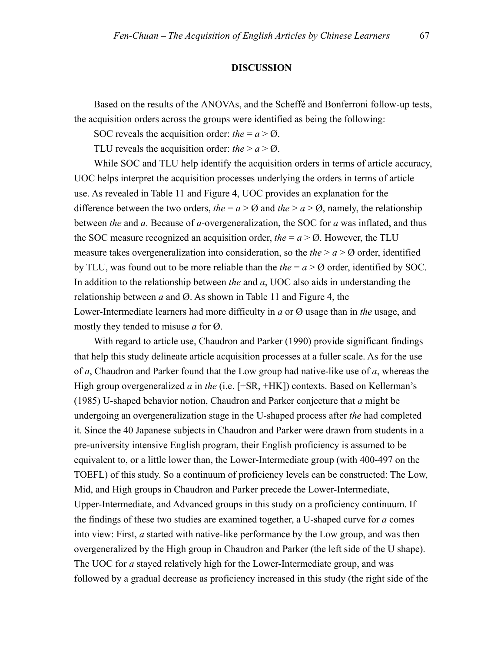### **DISCUSSION**

Based on the results of the ANOVAs, and the Scheffé and Bonferroni follow-up tests, the acquisition orders across the groups were identified as being the following:

SOC reveals the acquisition order: *the* =  $a > \emptyset$ .

TLU reveals the acquisition order: *the*  $> a > \emptyset$ .

While SOC and TLU help identify the acquisition orders in terms of article accuracy, UOC helps interpret the acquisition processes underlying the orders in terms of article use. As revealed in Table 11 and Figure 4, UOC provides an explanation for the difference between the two orders, *the* =  $a > 0$  and *the* >  $a > 0$ , namely, the relationship between *the* and *a*. Because of *a-*overgeneralization, the SOC for *a* was inflated, and thus the SOC measure recognized an acquisition order, *the*  $= a > 0$ . However, the TLU measure takes overgeneralization into consideration, so the *the*  $> a > 0$  order, identified by TLU, was found out to be more reliable than the *the* = *a* > Ø order, identified by SOC. In addition to the relationship between *the* and *a*, UOC also aids in understanding the relationship between *a* and Ø. As shown in Table 11 and Figure 4, the Lower-Intermediate learners had more difficulty in *a* or Ø usage than in *the* usage, and mostly they tended to misuse *a* for Ø.

With regard to article use, Chaudron and Parker (1990) provide significant findings that help this study delineate article acquisition processes at a fuller scale. As for the use of *a*, Chaudron and Parker found that the Low group had native-like use of *a*, whereas the High group overgeneralized *a* in *the* (i.e. [+SR, +HK]) contexts. Based on Kellerman's (1985) U-shaped behavior notion, Chaudron and Parker conjecture that *a* might be undergoing an overgeneralization stage in the U-shaped process after *the* had completed it. Since the 40 Japanese subjects in Chaudron and Parker were drawn from students in a pre-university intensive English program, their English proficiency is assumed to be equivalent to, or a little lower than, the Lower-Intermediate group (with 400-497 on the TOEFL) of this study. So a continuum of proficiency levels can be constructed: The Low, Mid, and High groups in Chaudron and Parker precede the Lower-Intermediate, Upper-Intermediate, and Advanced groups in this study on a proficiency continuum. If the findings of these two studies are examined together, a U-shaped curve for *a* comes into view: First, *a* started with native-like performance by the Low group, and was then overgeneralized by the High group in Chaudron and Parker (the left side of the U shape). The UOC for *a* stayed relatively high for the Lower-Intermediate group, and was followed by a gradual decrease as proficiency increased in this study (the right side of the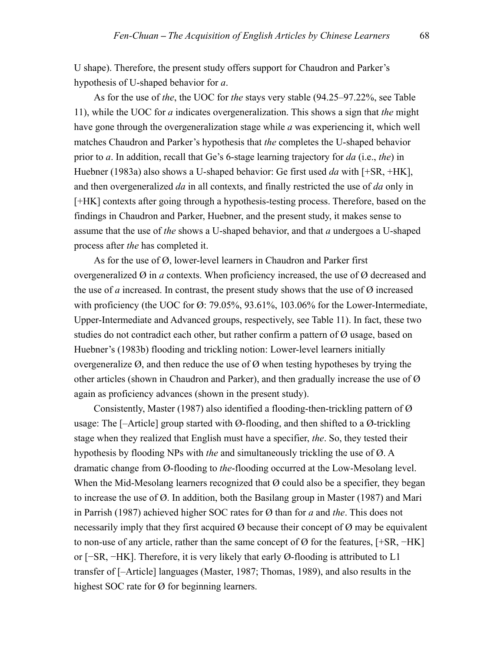U shape). Therefore, the present study offers support for Chaudron and Parker's hypothesis of U-shaped behavior for *a*.

As for the use of *the*, the UOC for *the* stays very stable (94.25–97.22%, see Table 11), while the UOC for *a* indicates overgeneralization. This shows a sign that *the* might have gone through the overgeneralization stage while *a* was experiencing it, which well matches Chaudron and Parker's hypothesis that *the* completes the U-shaped behavior prior to *a*. In addition, recall that Ge's 6-stage learning trajectory for *da* (i.e., *the*) in Huebner (1983a) also shows a U-shaped behavior: Ge first used *da* with [+SR, +HK], and then overgeneralized *da* in all contexts, and finally restricted the use of *da* only in [+HK] contexts after going through a hypothesis-testing process. Therefore, based on the findings in Chaudron and Parker, Huebner, and the present study, it makes sense to assume that the use of *the* shows a U-shaped behavior, and that *a* undergoes a U-shaped process after *the* has completed it.

As for the use of Ø, lower-level learners in Chaudron and Parker first overgeneralized Ø in *a* contexts. When proficiency increased, the use of Ø decreased and the use of *a* increased. In contrast, the present study shows that the use of  $\emptyset$  increased with proficiency (the UOC for  $\varnothing$ : 79.05%, 93.61%, 103.06% for the Lower-Intermediate, Upper-Intermediate and Advanced groups, respectively, see Table 11). In fact, these two studies do not contradict each other, but rather confirm a pattern of Ø usage, based on Huebner's (1983b) flooding and trickling notion: Lower-level learners initially overgeneralize  $\emptyset$ , and then reduce the use of  $\emptyset$  when testing hypotheses by trying the other articles (shown in Chaudron and Parker), and then gradually increase the use of Ø again as proficiency advances (shown in the present study).

Consistently, Master (1987) also identified a flooding-then-trickling pattern of  $\varnothing$ usage: The  $[-\text{Article}]$  group started with  $\varnothing$ -flooding, and then shifted to a  $\varnothing$ -trickling stage when they realized that English must have a specifier, *the*. So, they tested their hypothesis by flooding NPs with *the* and simultaneously trickling the use of Ø. A dramatic change from Ø-flooding to *the*-flooding occurred at the Low-Mesolang level. When the Mid-Mesolang learners recognized that  $\emptyset$  could also be a specifier, they began to increase the use of Ø. In addition, both the Basilang group in Master (1987) and Mari in Parrish (1987) achieved higher SOC rates for Ø than for *a* and *the*. This does not necessarily imply that they first acquired  $\emptyset$  because their concept of  $\emptyset$  may be equivalent to non-use of any article, rather than the same concept of Ø for the features, [+SR, −HK] or [−SR, −HK]. Therefore, it is very likely that early Ø-flooding is attributed to L1 transfer of [–Article] languages (Master, 1987; Thomas, 1989), and also results in the highest SOC rate for Ø for beginning learners.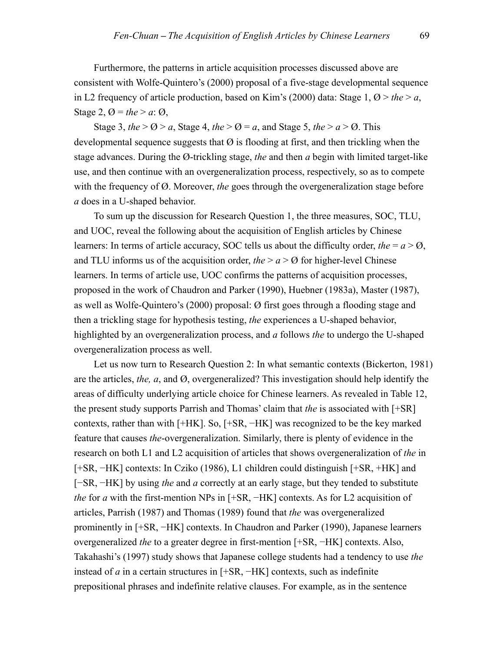Furthermore, the patterns in article acquisition processes discussed above are consistent with Wolfe-Quintero's (2000) proposal of a five-stage developmental sequence in L2 frequency of article production, based on Kim's (2000) data: Stage 1,  $\varnothing$  > *the* > *a*, Stage 2,  $\varnothing$  = the > a:  $\varnothing$ ,

Stage 3, *the*  $> Q$   $> a$ , Stage 4, *the*  $> Q$  = *a*, and Stage 5, *the*  $> a$   $> Q$ . This developmental sequence suggests that  $\varnothing$  is flooding at first, and then trickling when the stage advances. During the Ø-trickling stage, *the* and then *a* begin with limited target-like use, and then continue with an overgeneralization process, respectively, so as to compete with the frequency of Ø. Moreover, *the* goes through the overgeneralization stage before *a* does in a U-shaped behavior.

To sum up the discussion for Research Question 1, the three measures, SOC, TLU, and UOC, reveal the following about the acquisition of English articles by Chinese learners: In terms of article accuracy, SOC tells us about the difficulty order, *the* =  $a > 0$ , and TLU informs us of the acquisition order, *the*  $> a > 0$  for higher-level Chinese learners. In terms of article use, UOC confirms the patterns of acquisition processes, proposed in the work of Chaudron and Parker (1990), Huebner (1983a), Master (1987), as well as Wolfe-Quintero's (2000) proposal: Ø first goes through a flooding stage and then a trickling stage for hypothesis testing, *the* experiences a U-shaped behavior, highlighted by an overgeneralization process, and *a* follows *the* to undergo the U-shaped overgeneralization process as well.

Let us now turn to Research Question 2: In what semantic contexts (Bickerton, 1981) are the articles, *the, a*, and Ø, overgeneralized? This investigation should help identify the areas of difficulty underlying article choice for Chinese learners. As revealed in Table 12, the present study supports Parrish and Thomas' claim that *the* is associated with [+SR] contexts, rather than with [+HK]. So, [+SR, −HK] was recognized to be the key marked feature that causes *the*-overgeneralization. Similarly, there is plenty of evidence in the research on both L1 and L2 acquisition of articles that shows overgeneralization of *the* in [+SR, −HK] contexts: In Cziko (1986), L1 children could distinguish [+SR, +HK] and [−SR, −HK] by using *the* and *a* correctly at an early stage, but they tended to substitute *the* for *a* with the first-mention NPs in [+SR, −HK] contexts. As for L2 acquisition of articles, Parrish (1987) and Thomas (1989) found that *the* was overgeneralized prominently in [+SR, −HK] contexts. In Chaudron and Parker (1990), Japanese learners overgeneralized *the* to a greater degree in first-mention [+SR, −HK] contexts. Also, Takahashi's (1997) study shows that Japanese college students had a tendency to use *the*  instead of *a* in a certain structures in [+SR, −HK] contexts, such as indefinite prepositional phrases and indefinite relative clauses. For example, as in the sentence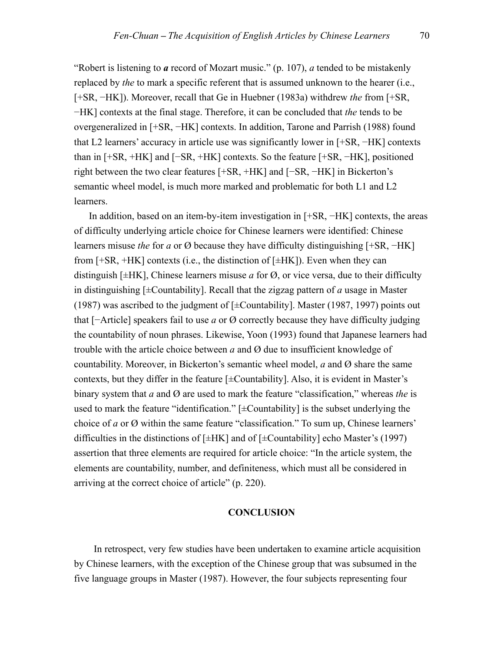"Robert is listening to *a* record of Mozart music." (p. 107), *a* tended to be mistakenly replaced by *the* to mark a specific referent that is assumed unknown to the hearer (i.e., [+SR, −HK]). Moreover, recall that Ge in Huebner (1983a) withdrew *the* from [+SR, −HK] contexts at the final stage. Therefore, it can be concluded that *the* tends to be overgeneralized in [+SR, −HK] contexts. In addition, Tarone and Parrish (1988) found that L2 learners' accuracy in article use was significantly lower in [+SR, −HK] contexts than in [+SR, +HK] and [−SR, +HK] contexts. So the feature [+SR, −HK], positioned right between the two clear features [+SR, +HK] and [−SR, −HK] in Bickerton's semantic wheel model, is much more marked and problematic for both L1 and L2 learners.

 In addition, based on an item-by-item investigation in [+SR, −HK] contexts, the areas of difficulty underlying article choice for Chinese learners were identified: Chinese learners misuse *the* for *a* or Ø because they have difficulty distinguishing [+SR, −HK] from  $[+SR, +HK]$  contexts (i.e., the distinction of  $[\pm HK]$ ). Even when they can distinguish [±HK], Chinese learners misuse *a* for Ø, or vice versa, due to their difficulty in distinguishing [±Countability]. Recall that the zigzag pattern of *a* usage in Master (1987) was ascribed to the judgment of  $[\pm$ Countability]. Master (1987, 1997) points out that [−Article] speakers fail to use *a* or Ø correctly because they have difficulty judging the countability of noun phrases. Likewise, Yoon (1993) found that Japanese learners had trouble with the article choice between *a* and Ø due to insufficient knowledge of countability. Moreover, in Bickerton's semantic wheel model, *a* and Ø share the same contexts, but they differ in the feature  $[\pm$ Countability]. Also, it is evident in Master's binary system that *a* and Ø are used to mark the feature "classification," whereas *the* is used to mark the feature "identification."  $[\pm$ Countability] is the subset underlying the choice of *a* or Ø within the same feature "classification." To sum up, Chinese learners' difficulties in the distinctions of  $[\pm HK]$  and of  $[\pm$ Countability] echo Master's (1997) assertion that three elements are required for article choice: "In the article system, the elements are countability, number, and definiteness, which must all be considered in arriving at the correct choice of article" (p. 220).

### **CONCLUSION**

In retrospect, very few studies have been undertaken to examine article acquisition by Chinese learners, with the exception of the Chinese group that was subsumed in the five language groups in Master (1987). However, the four subjects representing four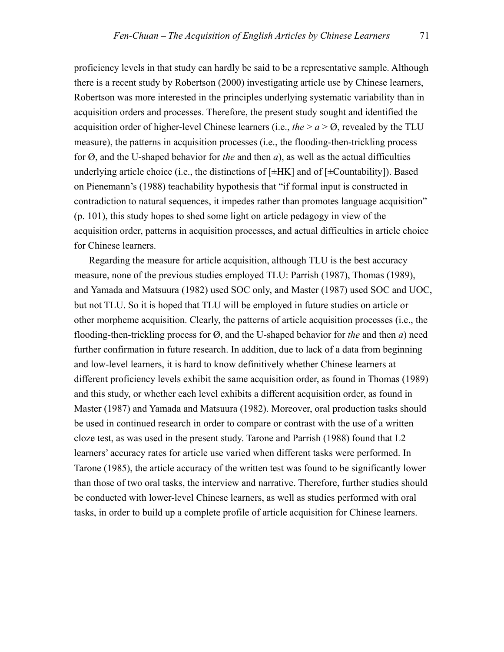proficiency levels in that study can hardly be said to be a representative sample. Although there is a recent study by Robertson (2000) investigating article use by Chinese learners, Robertson was more interested in the principles underlying systematic variability than in acquisition orders and processes. Therefore, the present study sought and identified the acquisition order of higher-level Chinese learners (i.e., *the*  $> a > 0$ , revealed by the TLU measure), the patterns in acquisition processes (i.e., the flooding-then-trickling process for Ø, and the U-shaped behavior for *the* and then *a*), as well as the actual difficulties underlying article choice (i.e., the distinctions of  $[\pm HK]$  and of  $[\pm$ Countability]). Based on Pienemann's (1988) teachability hypothesis that "if formal input is constructed in contradiction to natural sequences, it impedes rather than promotes language acquisition" (p. 101), this study hopes to shed some light on article pedagogy in view of the acquisition order, patterns in acquisition processes, and actual difficulties in article choice for Chinese learners.

 Regarding the measure for article acquisition, although TLU is the best accuracy measure, none of the previous studies employed TLU: Parrish (1987), Thomas (1989), and Yamada and Matsuura (1982) used SOC only, and Master (1987) used SOC and UOC, but not TLU. So it is hoped that TLU will be employed in future studies on article or other morpheme acquisition. Clearly, the patterns of article acquisition processes (i.e., the flooding-then-trickling process for Ø, and the U-shaped behavior for *the* and then *a*) need further confirmation in future research. In addition, due to lack of a data from beginning and low-level learners, it is hard to know definitively whether Chinese learners at different proficiency levels exhibit the same acquisition order, as found in Thomas (1989) and this study, or whether each level exhibits a different acquisition order, as found in Master (1987) and Yamada and Matsuura (1982). Moreover, oral production tasks should be used in continued research in order to compare or contrast with the use of a written cloze test, as was used in the present study. Tarone and Parrish (1988) found that L2 learners' accuracy rates for article use varied when different tasks were performed. In Tarone (1985), the article accuracy of the written test was found to be significantly lower than those of two oral tasks, the interview and narrative. Therefore, further studies should be conducted with lower-level Chinese learners, as well as studies performed with oral tasks, in order to build up a complete profile of article acquisition for Chinese learners.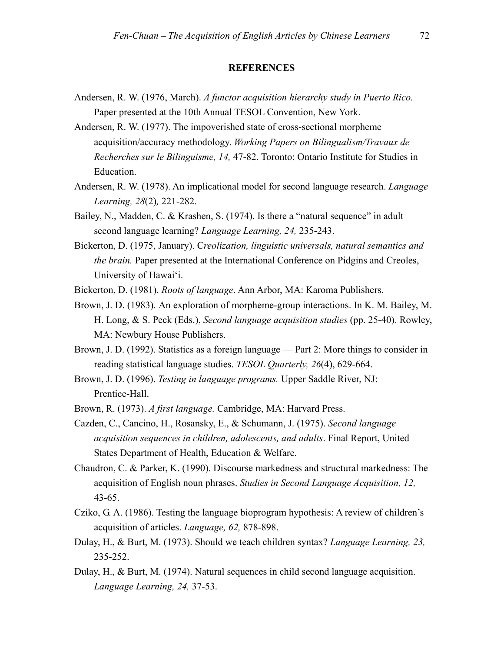## **REFERENCES**

- Andersen, R. W. (1976, March). *A functor acquisition hierarchy study in Puerto Rico.* Paper presented at the 10th Annual TESOL Convention, New York.
- Andersen, R. W. (1977). The impoverished state of cross-sectional morpheme acquisition/accuracy methodology. *Working Papers on Bilingualism/Travaux de Recherches sur le Bilinguisme, 14,* 47-82. Toronto: Ontario Institute for Studies in Education.
- Andersen, R. W. (1978). An implicational model for second language research. *Language Learning, 28*(2)*,* 221-282.
- Bailey, N., Madden, C. & Krashen, S. (1974). Is there a "natural sequence" in adult second language learning? *Language Learning, 24,* 235-243.
- Bickerton, D. (1975, January). C*reolization, linguistic universals, natural semantics and the brain.* Paper presented at the International Conference on Pidgins and Creoles, University of Hawai'i.
- Bickerton, D. (1981). *Roots of language*. Ann Arbor, MA: Karoma Publishers.
- Brown, J. D. (1983). An exploration of morpheme-group interactions. In K. M. Bailey, M. H. Long, & S. Peck (Eds.), *Second language acquisition studies* (pp. 25-40). Rowley, MA: Newbury House Publishers.
- Brown, J. D. (1992). Statistics as a foreign language Part 2: More things to consider in reading statistical language studies. *TESOL Quarterly, 26*(4), 629-664.
- Brown, J. D. (1996). *Testing in language programs.* Upper Saddle River, NJ: Prentice-Hall.
- Brown, R. (1973). *A first language.* Cambridge, MA: Harvard Press.
- Cazden, C., Cancino, H., Rosansky, E., & Schumann, J. (1975). *Second language acquisition sequences in children, adolescents, and adults*. Final Report, United States Department of Health, Education & Welfare.
- Chaudron, C. & Parker, K. (1990). Discourse markedness and structural markedness: The acquisition of English noun phrases. *Studies in Second Language Acquisition, 12,* 43-65.
- Cziko, G. A. (1986). Testing the language bioprogram hypothesis: A review of children's acquisition of articles. *Language, 62,* 878-898.
- Dulay, H., & Burt, M. (1973). Should we teach children syntax? *Language Learning, 23,* 235-252.
- Dulay, H., & Burt, M. (1974). Natural sequences in child second language acquisition. *Language Learning, 24,* 37-53.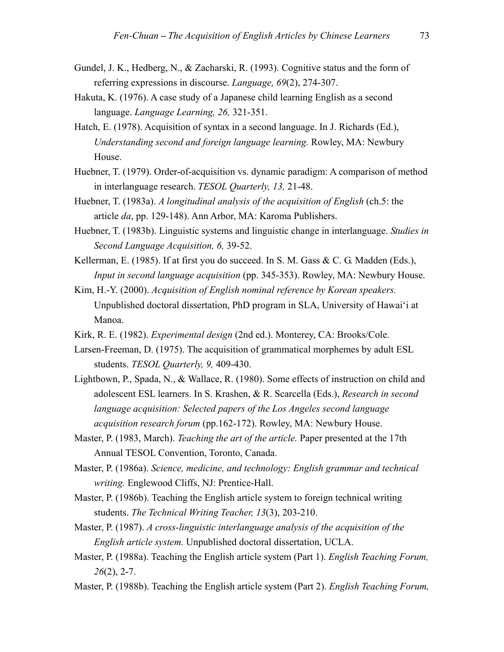- Gundel, J. K., Hedberg, N., & Zacharski, R. (1993). Cognitive status and the form of referring expressions in discourse. *Language, 69*(2), 274-307.
- Hakuta, K. (1976). A case study of a Japanese child learning English as a second language. *Language Learning, 26,* 321-351.
- Hatch, E. (1978). Acquisition of syntax in a second language. In J. Richards (Ed.), *Understanding second and foreign language learning.* Rowley, MA: Newbury House.
- Huebner, T. (1979). Order-of-acquisition vs. dynamic paradigm: A comparison of method in interlanguage research. *TESOL Quarterly, 13,* 21-48.
- Huebner, T. (1983a). *A longitudinal analysis of the acquisition of English* (ch.5: the article *da*, pp. 129-148). Ann Arbor, MA: Karoma Publishers.
- Huebner, T. (1983b). Linguistic systems and linguistic change in interlanguage. *Studies in Second Language Acquisition, 6,* 39-52.
- Kellerman, E. (1985). If at first you do succeed. In S. M. Gass & C. G. Madden (Eds.), *Input in second language acquisition* (pp. 345-353). Rowley, MA: Newbury House.
- Kim, H.-Y. (2000). *Acquisition of English nominal reference by Korean speakers.*  Unpublished doctoral dissertation, PhD program in SLA, University of Hawai'i at Manoa.
- Kirk, R. E. (1982). *Experimental design* (2nd ed.). Monterey, CA: Brooks/Cole.
- Larsen-Freeman, D. (1975). The acquisition of grammatical morphemes by adult ESL students. *TESOL Quarterly, 9,* 409-430.
- Lightbown, P., Spada, N., & Wallace, R. (1980). Some effects of instruction on child and adolescent ESL learners. In S. Krashen, & R. Scarcella (Eds.), *Research in second language acquisition: Selected papers of the Los Angeles second language acquisition research forum* (pp.162-172). Rowley, MA: Newbury House.
- Master, P. (1983, March). *Teaching the art of the article.* Paper presented at the 17th Annual TESOL Convention, Toronto, Canada.
- Master, P. (1986a). *Science, medicine, and technology: English grammar and technical writing.* Englewood Cliffs, NJ: Prentice-Hall.
- Master, P. (1986b). Teaching the English article system to foreign technical writing students. *The Technical Writing Teacher, 13*(3), 203-210.
- Master, P. (1987). *A cross-linguistic interlanguage analysis of the acquisition of the English article system.* Unpublished doctoral dissertation, UCLA.
- Master, P. (1988a). Teaching the English article system (Part 1). *English Teaching Forum, 26*(2), 2-7.
- Master, P. (1988b). Teaching the English article system (Part 2). *English Teaching Forum,*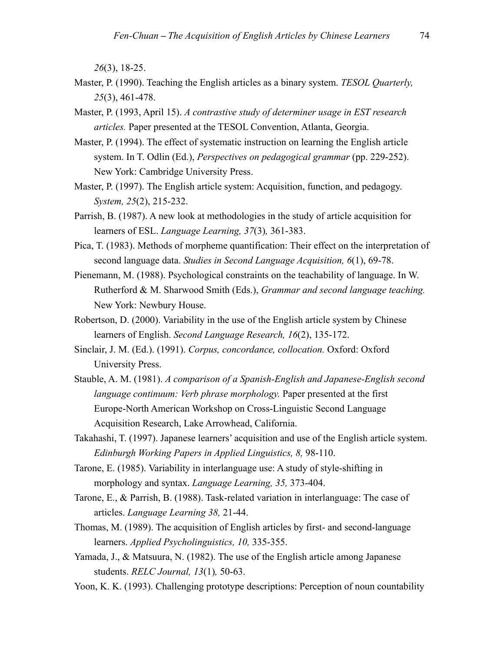*26*(3), 18-25.

- Master, P. (1990). Teaching the English articles as a binary system. *TESOL Quarterly, 25*(3), 461-478.
- Master, P. (1993, April 15). *A contrastive study of determiner usage in EST research articles.* Paper presented at the TESOL Convention, Atlanta, Georgia.
- Master, P. (1994). The effect of systematic instruction on learning the English article system. In T. Odlin (Ed.), *Perspectives on pedagogical grammar* (pp. 229-252). New York: Cambridge University Press.
- Master, P. (1997). The English article system: Acquisition, function, and pedagogy. *System, 25*(2), 215-232.
- Parrish, B. (1987). A new look at methodologies in the study of article acquisition for learners of ESL. *Language Learning, 37*(3)*,* 361-383.
- Pica, T. (1983). Methods of morpheme quantification: Their effect on the interpretation of second language data. *Studies in Second Language Acquisition, 6*(1), 69-78.
- Pienemann, M. (1988). Psychological constraints on the teachability of language. In W. Rutherford & M. Sharwood Smith (Eds.), *Grammar and second language teaching.* New York: Newbury House.
- Robertson, D. (2000). Variability in the use of the English article system by Chinese learners of English. *Second Language Research, 16*(2), 135-172.
- Sinclair, J. M. (Ed.). (1991). *Corpus, concordance, collocation.* Oxford: Oxford University Press.
- Stauble, A. M. (1981). *A comparison of a Spanish-English and Japanese-English second language continuum: Verb phrase morphology.* Paper presented at the first Europe-North American Workshop on Cross-Linguistic Second Language Acquisition Research, Lake Arrowhead, California.
- Takahashi, T. (1997). Japanese learners' acquisition and use of the English article system. *Edinburgh Working Papers in Applied Linguistics, 8,* 98-110.
- Tarone, E. (1985). Variability in interlanguage use: A study of style-shifting in morphology and syntax. *Language Learning, 35,* 373-404.
- Tarone, E., & Parrish, B. (1988). Task-related variation in interlanguage: The case of articles. *Language Learning 38,* 21-44.
- Thomas, M. (1989). The acquisition of English articles by first- and second-language learners. *Applied Psycholinguistics, 10,* 335-355.
- Yamada, J., & Matsuura, N. (1982). The use of the English article among Japanese students. *RELC Journal, 13*(1)*,* 50-63.
- Yoon, K. K. (1993). Challenging prototype descriptions: Perception of noun countability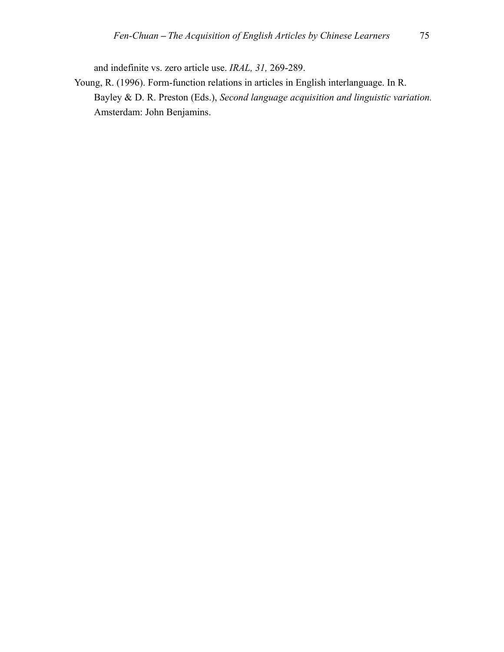and indefinite vs. zero article use. *IRAL, 31,* 269-289.

Young, R. (1996). Form-function relations in articles in English interlanguage. In R. Bayley & D. R. Preston (Eds.), *Second language acquisition and linguistic variation.* Amsterdam: John Benjamins.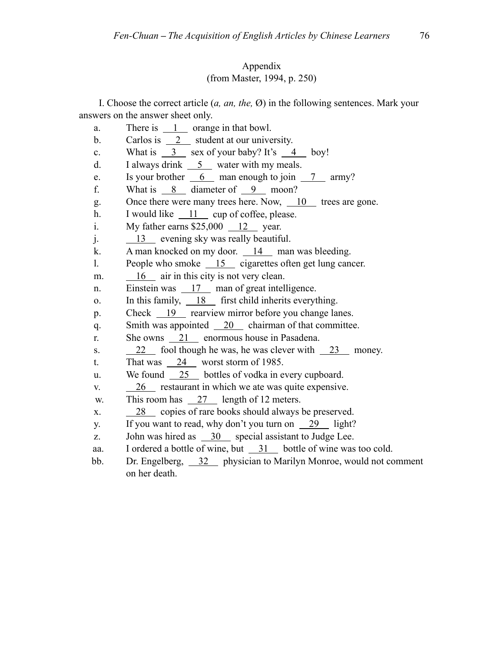## Appendix (from Master, 1994, p. 250)

I. Choose the correct article (*a, an, the,* Ø) in the following sentences. Mark your answers on the answer sheet only.

- a. There is  $\frac{1}{1}$  orange in that bowl.
- b. Carlos is 2 student at our university.
- c. What is  $\frac{3}{2}$  sex of your baby? It's  $\frac{4}{2}$  boy!
- d. I always drink  $\frac{5}{2}$  water with my meals.
- e. Is your brother  $\overline{6}$  man enough to join  $\overline{7}$  army?
- f. What is  $\frac{8}{2}$  diameter of  $\frac{9}{2}$  moon?
- g. Once there were many trees here. Now,  $\frac{10}{10}$  trees are gone.
- h. I would like 11 cup of coffee, please.
- i. My father earns  $$25,000$  12 year.
- j. 13 evening sky was really beautiful.
- k. A man knocked on my door. 14 man was bleeding.
- l. People who smoke 15 cigarettes often get lung cancer.
- m.  $\frac{16}{16}$  air in this city is not very clean.
- n. Einstein was 17 man of great intelligence.
- o. In this family,  $\frac{18}{18}$  first child inherits everything.
- p. Check 19 rearview mirror before you change lanes.
- q. Smith was appointed 20 chairman of that committee.
- r. She owns 21 enormous house in Pasadena.
- s.  $22 \t 22$  fool though he was, he was clever with  $23$  money.
- t. That was  $\frac{24}{100}$  worst storm of 1985.
- u. We found 25 bottles of vodka in every cupboard.
- v.  $26$  restaurant in which we ate was quite expensive.
- w. This room has 27 length of 12 meters.
- x. 28 copies of rare books should always be preserved.
- y. If you want to read, why don't you turn on  $\frac{29}{19}$  light?
- z. John was hired as 30 special assistant to Judge Lee.
- aa. I ordered a bottle of wine, but 31 bottle of wine was too cold.
- bb. Dr. Engelberg, 32 physician to Marilyn Monroe, would not comment on her death.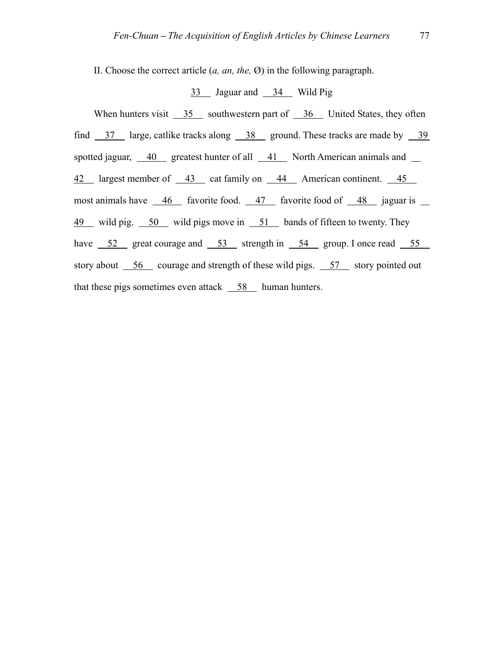II. Choose the correct article (*a, an, the,* Ø) in the following paragraph.

## 33 Jaguar and 34 Wild Pig

When hunters visit 35 southwestern part of 36 United States, they often find  $\frac{37}{19}$  large, catlike tracks along  $\frac{38}{19}$  ground. These tracks are made by  $\frac{39}{19}$ spotted jaguar,  $\frac{40}{ }$  greatest hunter of all  $\frac{41}{ }$  North American animals and  $\frac{1}{ }$ 42 largest member of 43 cat family on 44 American continent. 45 most animals have  $\frac{46}{48}$  favorite food.  $\frac{47}{48}$  favorite food of  $\frac{48}{48}$  jaguar is 49 wild pig. 50 wild pigs move in 51 bands of fifteen to twenty. They have  $52$  great courage and  $53$  strength in  $54$  group. I once read  $55$ story about  $\overline{56}$  courage and strength of these wild pigs.  $\overline{57}$  story pointed out that these pigs sometimes even attack  $\frac{58}{ }$  human hunters.